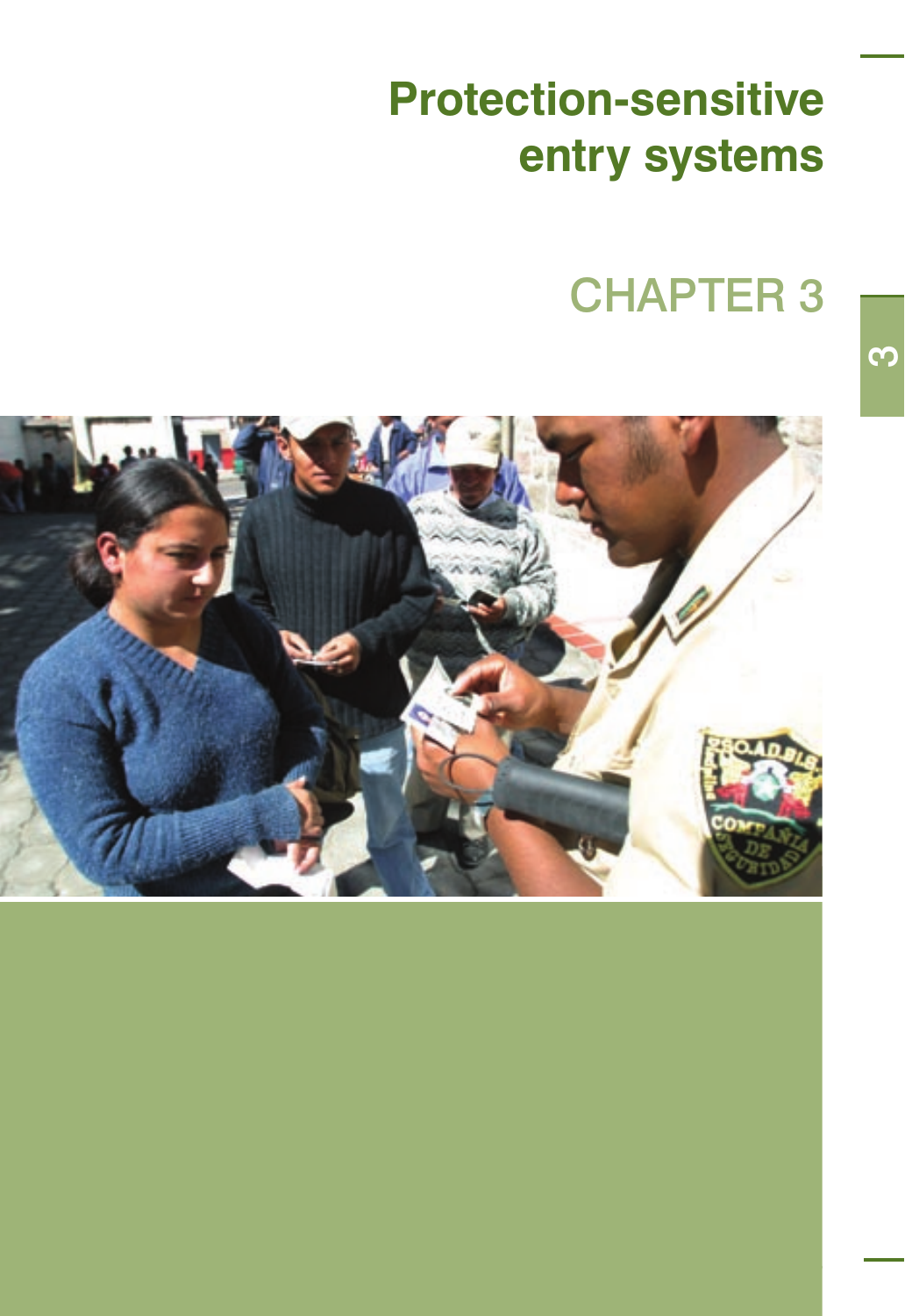# **Protection-sensitive entry systems**

# CHAPTER 3

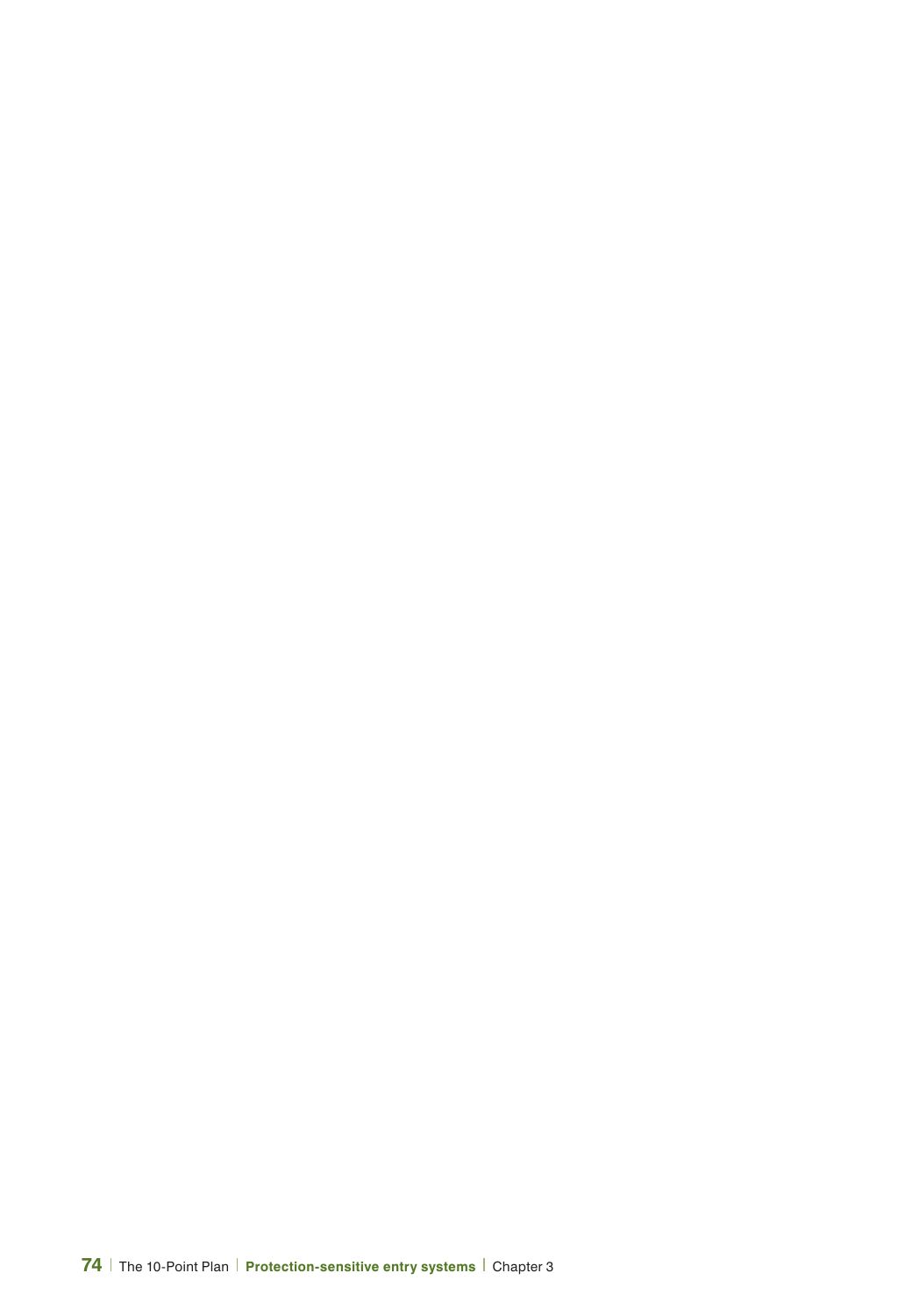**74**  $\vert$  The 10-Point Plan  $\vert$  Protection-sensitive entry systems  $\vert$  Chapter 3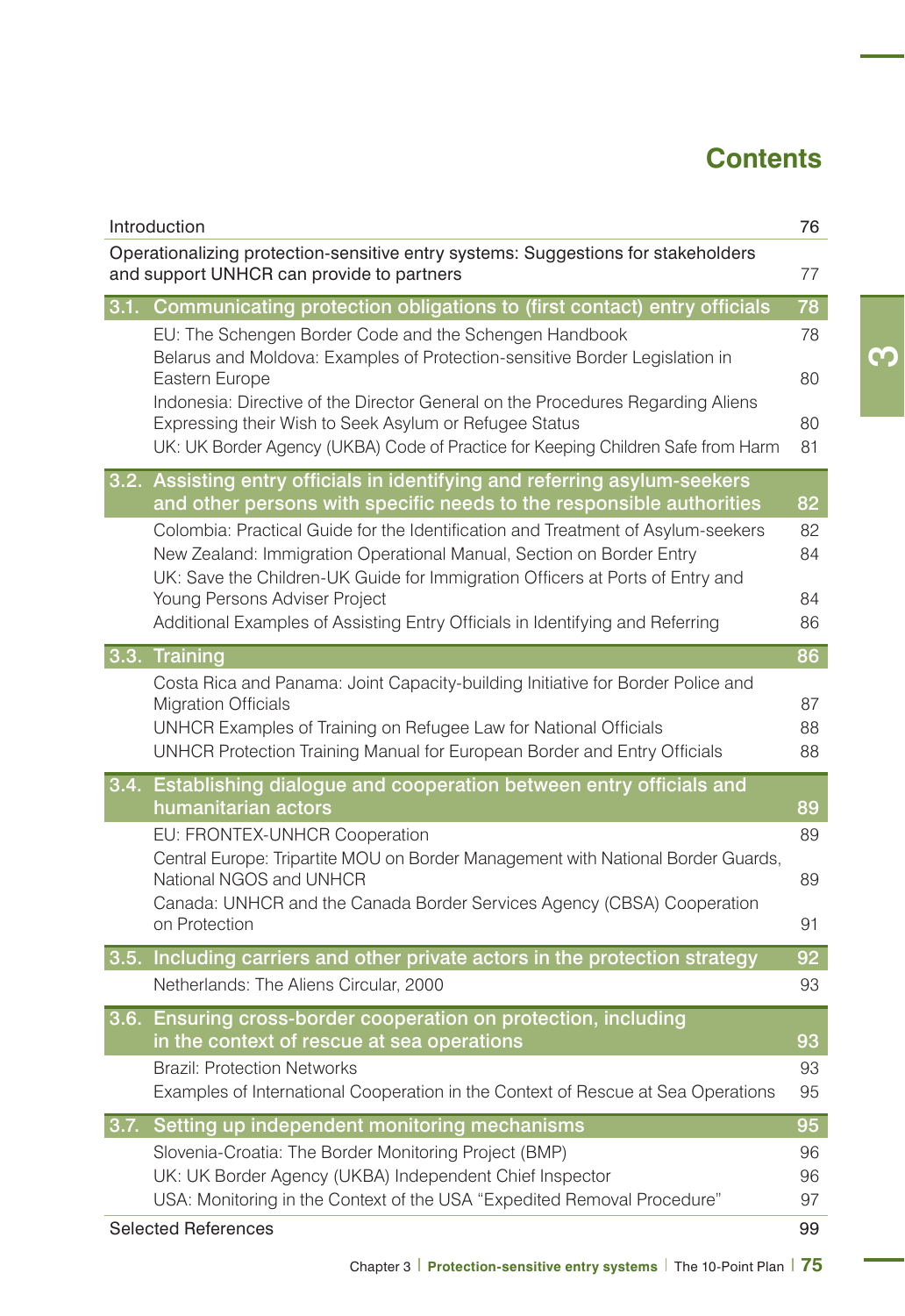# **Contents**

| Introduction                                                                                                                   |                                                                                                                                                          | 76       |
|--------------------------------------------------------------------------------------------------------------------------------|----------------------------------------------------------------------------------------------------------------------------------------------------------|----------|
| Operationalizing protection-sensitive entry systems: Suggestions for stakeholders<br>and support UNHCR can provide to partners |                                                                                                                                                          | 77       |
|                                                                                                                                | 3.1. Communicating protection obligations to (first contact) entry officials                                                                             | 78       |
|                                                                                                                                | EU: The Schengen Border Code and the Schengen Handbook<br>Belarus and Moldova: Examples of Protection-sensitive Border Legislation in                    | 78       |
|                                                                                                                                | Eastern Europe<br>Indonesia: Directive of the Director General on the Procedures Regarding Aliens                                                        | 80       |
|                                                                                                                                | Expressing their Wish to Seek Asylum or Refugee Status                                                                                                   | 80       |
|                                                                                                                                | UK: UK Border Agency (UKBA) Code of Practice for Keeping Children Safe from Harm                                                                         | 81       |
|                                                                                                                                | 3.2. Assisting entry officials in identifying and referring asylum-seekers<br>and other persons with specific needs to the responsible authorities       | 82       |
|                                                                                                                                | Colombia: Practical Guide for the Identification and Treatment of Asylum-seekers<br>New Zealand: Immigration Operational Manual, Section on Border Entry | 82<br>84 |
|                                                                                                                                | UK: Save the Children-UK Guide for Immigration Officers at Ports of Entry and                                                                            |          |
|                                                                                                                                | Young Persons Adviser Project<br>Additional Examples of Assisting Entry Officials in Identifying and Referring                                           | 84<br>86 |
|                                                                                                                                | 3.3. Training                                                                                                                                            | 86       |
|                                                                                                                                | Costa Rica and Panama: Joint Capacity-building Initiative for Border Police and                                                                          |          |
|                                                                                                                                | <b>Migration Officials</b>                                                                                                                               | 87       |
|                                                                                                                                | UNHCR Examples of Training on Refugee Law for National Officials                                                                                         | 88       |
|                                                                                                                                | UNHCR Protection Training Manual for European Border and Entry Officials                                                                                 | 88       |
|                                                                                                                                | 3.4. Establishing dialogue and cooperation between entry officials and<br>humanitarian actors                                                            | 89       |
|                                                                                                                                | EU: FRONTEX-UNHCR Cooperation                                                                                                                            | 89       |
|                                                                                                                                | Central Europe: Tripartite MOU on Border Management with National Border Guards,<br>National NGOS and UNHCR                                              | 89       |
|                                                                                                                                | Canada: UNHCR and the Canada Border Services Agency (CBSA) Cooperation                                                                                   |          |
|                                                                                                                                | on Protection                                                                                                                                            | 91       |
|                                                                                                                                | 3.5. Including carriers and other private actors in the protection strategy                                                                              | 92       |
|                                                                                                                                | Netherlands: The Aliens Circular, 2000                                                                                                                   | 93       |
| 3.6.                                                                                                                           | Ensuring cross-border cooperation on protection, including                                                                                               |          |
|                                                                                                                                | in the context of rescue at sea operations                                                                                                               | 93       |
|                                                                                                                                | <b>Brazil: Protection Networks</b>                                                                                                                       | 93       |
|                                                                                                                                | Examples of International Cooperation in the Context of Rescue at Sea Operations                                                                         | 95       |
| 3.7.                                                                                                                           | Setting up independent monitoring mechanisms                                                                                                             | 95       |
|                                                                                                                                | Slovenia-Croatia: The Border Monitoring Project (BMP)                                                                                                    | 96       |
|                                                                                                                                | UK: UK Border Agency (UKBA) Independent Chief Inspector                                                                                                  | 96       |
|                                                                                                                                | USA: Monitoring in the Context of the USA "Expedited Removal Procedure"                                                                                  | 97       |
| <b>Selected References</b>                                                                                                     |                                                                                                                                                          |          |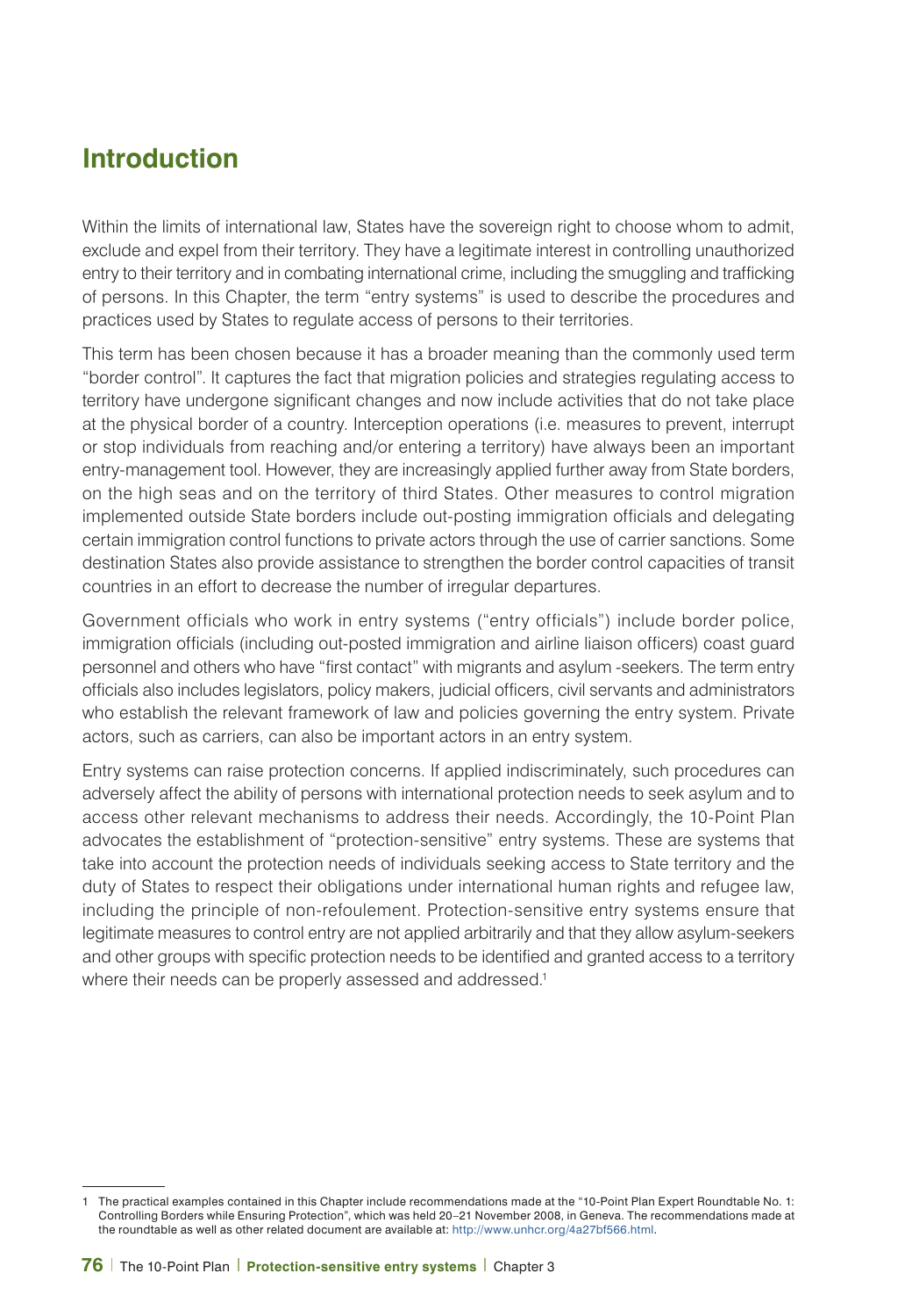# **Introduction**

Within the limits of international law, States have the sovereign right to choose whom to admit, exclude and expel from their territory. They have a legitimate interest in controlling unauthorized entry to their territory and in combating international crime, including the smuggling and trafficking of persons. In this Chapter, the term "entry systems" is used to describe the procedures and practices used by States to regulate access of persons to their territories.

This term has been chosen because it has a broader meaning than the commonly used term "border control". It captures the fact that migration policies and strategies regulating access to territory have undergone significant changes and now include activities that do not take place at the physical border of a country. Interception operations (i.e. measures to prevent, interrupt or stop individuals from reaching and/or entering a territory) have always been an important entry-management tool. However, they are increasingly applied further away from State borders, on the high seas and on the territory of third States. Other measures to control migration implemented outside State borders include out-posting immigration officials and delegating certain immigration control functions to private actors through the use of carrier sanctions. Some destination States also provide assistance to strengthen the border control capacities of transit countries in an effort to decrease the number of irregular departures.

Government officials who work in entry systems ("entry officials") include border police, immigration officials (including out-posted immigration and airline liaison officers) coast guard personnel and others who have "first contact" with migrants and asylum -seekers. The term entry officials also includes legislators, policy makers, judicial officers, civil servants and administrators who establish the relevant framework of law and policies governing the entry system. Private actors, such as carriers, can also be important actors in an entry system.

Entry systems can raise protection concerns. If applied indiscriminately, such procedures can adversely affect the ability of persons with international protection needs to seek asylum and to access other relevant mechanisms to address their needs. Accordingly, the 10-Point Plan advocates the establishment of "protection-sensitive" entry systems. These are systems that take into account the protection needs of individuals seeking access to State territory and the duty of States to respect their obligations under international human rights and refugee law, including the principle of non-refoulement. Protection-sensitive entry systems ensure that legitimate measures to control entry are not applied arbitrarily and that they allow asylum-seekers and other groups with specific protection needs to be identified and granted access to a territory where their needs can be properly assessed and addressed.<sup>1</sup>

<sup>1</sup> The practical examples contained in this Chapter include recommendations made at the "10-Point Plan Expert Roundtable No. 1: Controlling Borders while Ensuring Protection", which was held 20–21 November 2008, in Geneva. The recommendations made at the roundtable as well as other related document are available at: <http://www.unhcr.org/4a27bf566.html>.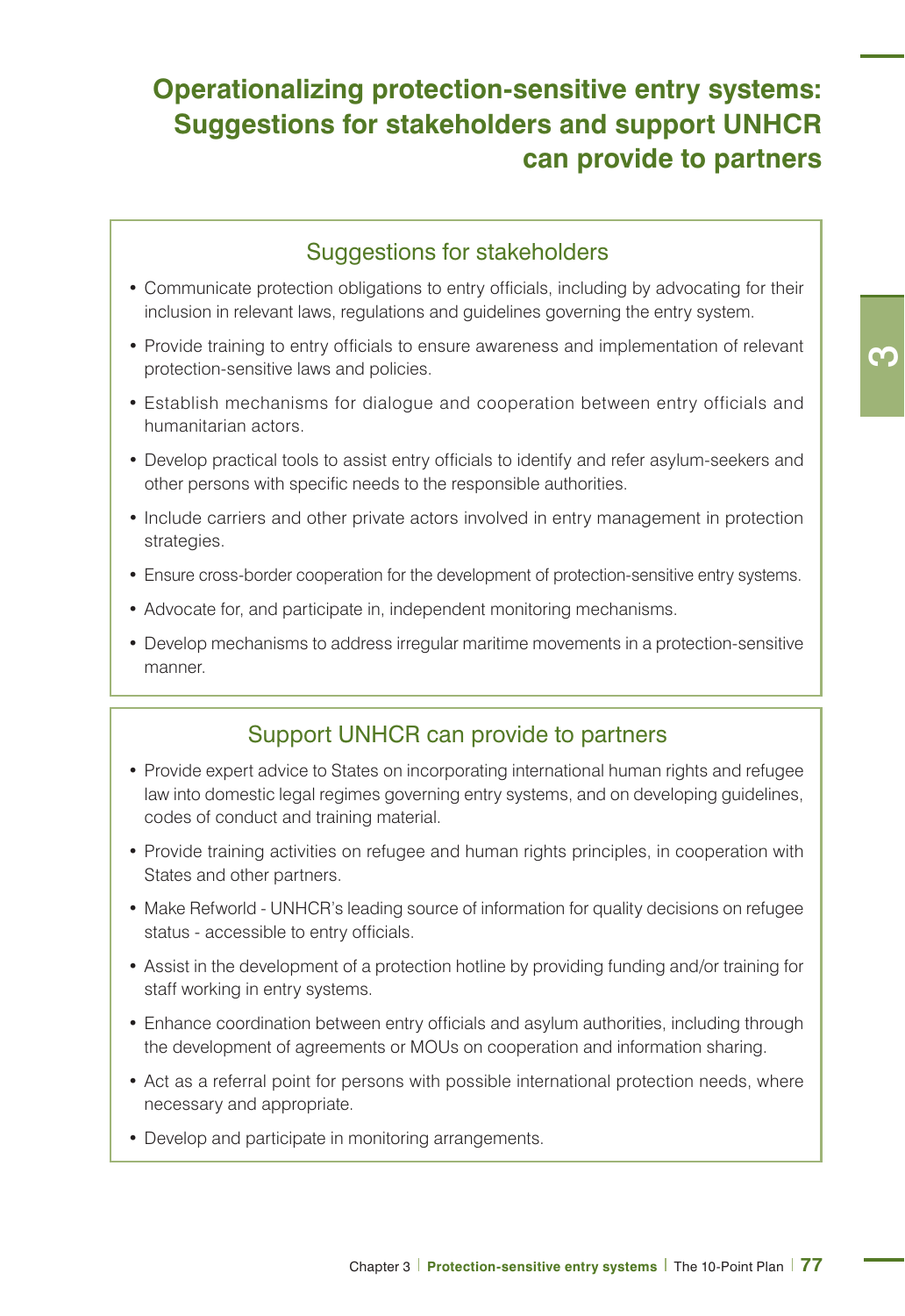# **Operationalizing protection-sensitive entry systems: Suggestions for stakeholders and support UNHCR can provide to partners**

# Suggestions for stakeholders

- • Communicate protection obligations to entry officials, including by advocating for their inclusion in relevant laws, regulations and guidelines governing the entry system.
- Provide training to entry officials to ensure awareness and implementation of relevant protection-sensitive laws and policies.
- Establish mechanisms for dialogue and cooperation between entry officials and humanitarian actors.
- • Develop practical tools to assist entry officials to identify and refer asylum-seekers and other persons with specific needs to the responsible authorities.
- Include carriers and other private actors involved in entry management in protection strategies.
- Ensure cross-border cooperation for the development of protection-sensitive entry systems.
- Advocate for, and participate in, independent monitoring mechanisms.
- • Develop mechanisms to address irregular maritime movements in a protection-sensitive manner.

# Support UNHCR can provide to partners

- Provide expert advice to States on incorporating international human rights and refugee law into domestic legal regimes governing entry systems, and on developing guidelines, codes of conduct and training material.
- Provide training activities on refugee and human rights principles, in cooperation with States and other partners.
- Make Refworld UNHCR's leading source of information for quality decisions on refugee status - accessible to entry officials.
- Assist in the development of a protection hotline by providing funding and/or training for staff working in entry systems.
- Enhance coordination between entry officials and asylum authorities, including through the development of agreements or MOUs on cooperation and information sharing.
- Act as a referral point for persons with possible international protection needs, where necessary and appropriate.
- Develop and participate in monitoring arrangements.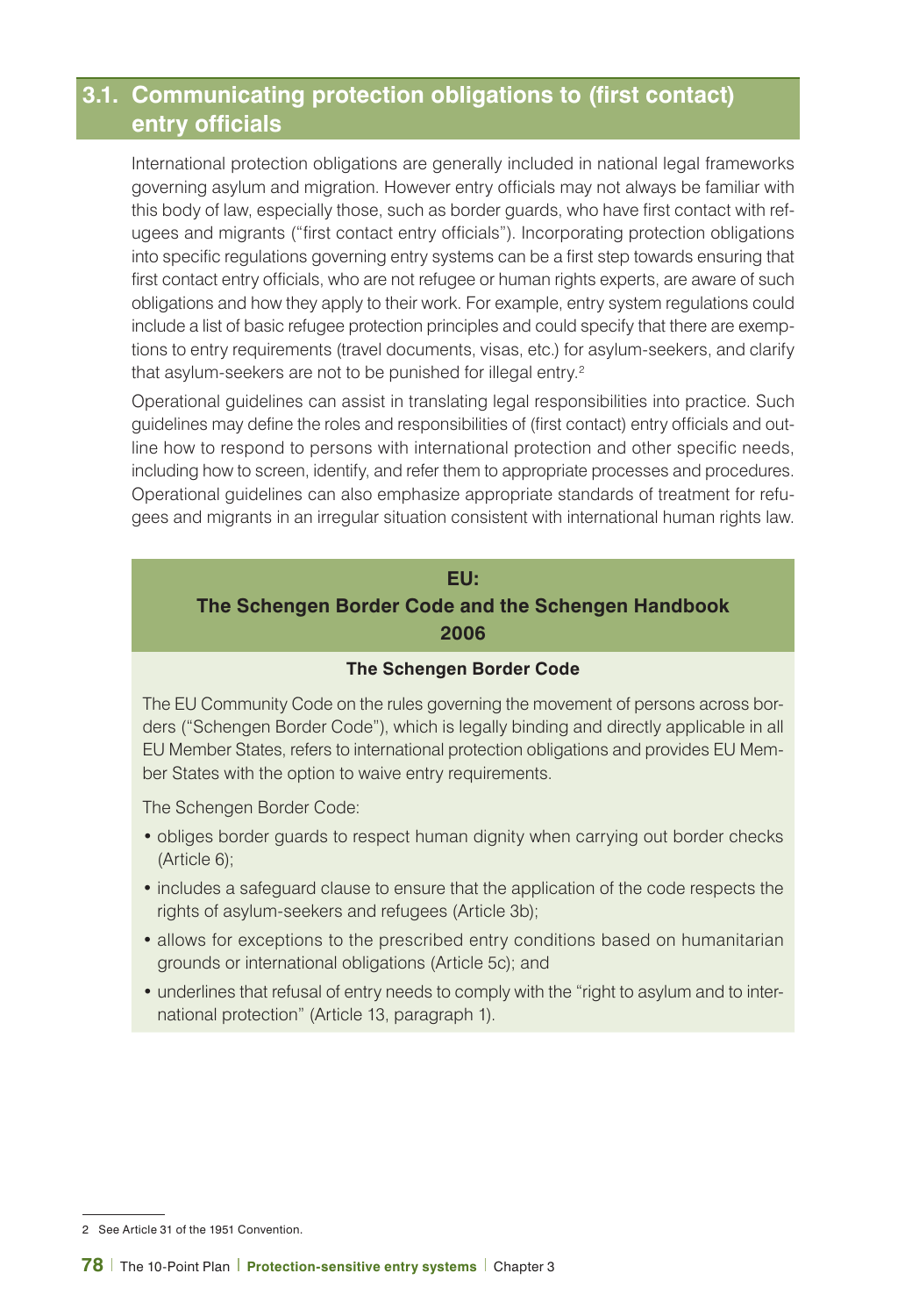# **3.1. Communicating protection obligations to (first contact) entry officials**

International protection obligations are generally included in national legal frameworks governing asylum and migration. However entry officials may not always be familiar with this body of law, especially those, such as border guards, who have first contact with refugees and migrants ("first contact entry officials"). Incorporating protection obligations into specific regulations governing entry systems can be a first step towards ensuring that first contact entry officials, who are not refugee or human rights experts, are aware of such obligations and how they apply to their work. For example, entry system regulations could include a list of basic refugee protection principles and could specify that there are exemptions to entry requirements (travel documents, visas, etc.) for asylum-seekers, and clarify that asylum-seekers are not to be punished for illegal entry.<sup>2</sup>

Operational guidelines can assist in translating legal responsibilities into practice. Such guidelines may define the roles and responsibilities of (first contact) entry officials and outline how to respond to persons with international protection and other specific needs, including how to screen, identify, and refer them to appropriate processes and procedures. Operational guidelines can also emphasize appropriate standards of treatment for refugees and migrants in an irregular situation consistent with international human rights law.

## **EU: The Schengen Border Code and the Schengen Handbook 2006**

#### **The Schengen Border Code**

The EU Community Code on the rules governing the movement of persons across borders ("Schengen Border Code"), which is legally binding and directly applicable in all EU Member States, refers to international protection obligations and provides EU Member States with the option to waive entry requirements.

The Schengen Border Code:

- obliges border guards to respect human dignity when carrying out border checks (Article 6);
- includes a safeguard clause to ensure that the application of the code respects the rights of asylum-seekers and refugees (Article 3b);
- allows for exceptions to the prescribed entry conditions based on humanitarian grounds or international obligations (Article 5c); and
- underlines that refusal of entry needs to comply with the "right to asylum and to international protection" (Article 13, paragraph 1).

<sup>2</sup> See Article 31 of the 1951 Convention.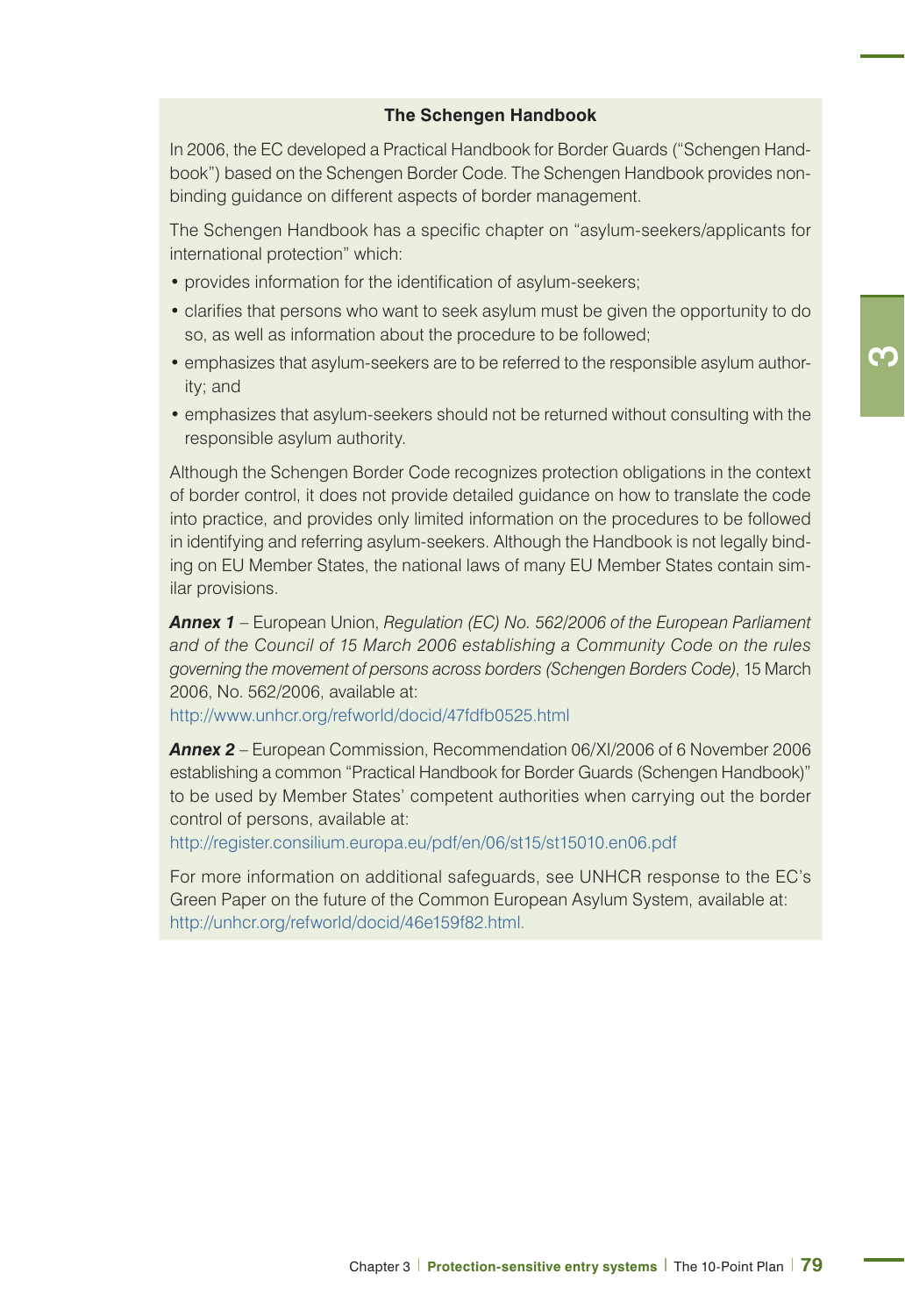#### **The Schengen Handbook**

In 2006, the EC developed a Practical Handbook for Border Guards ("Schengen Handbook") based on the Schengen Border Code. The Schengen Handbook provides nonbinding guidance on different aspects of border management.

The Schengen Handbook has a specific chapter on "asylum-seekers/applicants for international protection" which:

- provides information for the identification of asylum-seekers;
- clarifies that persons who want to seek asylum must be given the opportunity to do so, as well as information about the procedure to be followed;
- emphasizes that asylum-seekers are to be referred to the responsible asylum authority; and
- emphasizes that asylum-seekers should not be returned without consulting with the responsible asylum authority.

Although the Schengen Border Code recognizes protection obligations in the context of border control, it does not provide detailed guidance on how to translate the code into practice, and provides only limited information on the procedures to be followed in identifying and referring asylum-seekers. Although the Handbook is not legally binding on EU Member States, the national laws of many EU Member States contain similar provisions.

*Annex 1* – European Union, *Regulation (EC) No. 562/2006 of the European Parliament and of the Council of 15 March 2006 establishing a Community Code on the rules governing the movement of persons across borders (Schengen Borders Code)*, 15 March 2006, No. 562/2006, available at:

<http://www.unhcr.org/refworld/docid/47fdfb0525.html>

*Annex 2* – European Commission, Recommendation 06/XI/2006 of 6 November 2006 establishing a common "Practical Handbook for Border Guards (Schengen Handbook)" to be used by Member States' competent authorities when carrying out the border control of persons, available at:

<http://register.consilium.europa.eu/pdf/en/06/st15/st15010.en06.pdf>

For more information on additional safeguards, see UNHCR response to the EC's Green Paper on the future of the Common European Asylum System, available at: <http://unhcr.org/refworld/docid/46e159f82.html>.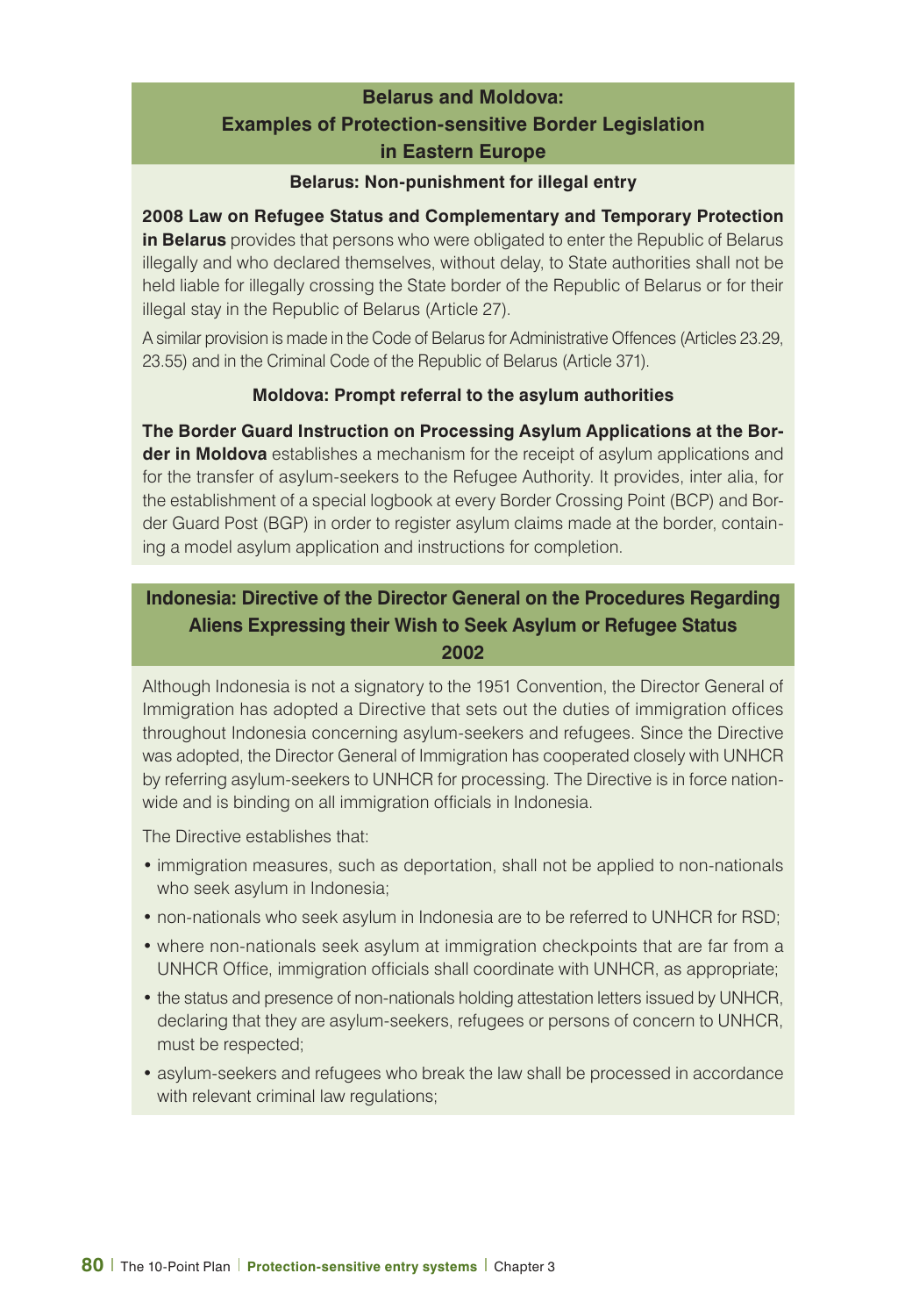# **Belarus and Moldova: Examples of Protection-sensitive Border Legislation in Eastern Europe**

#### **Belarus: Non-punishment for illegal entry**

**2008 Law on Refugee Status and Complementary and Temporary Protection in Belarus** provides that persons who were obligated to enter the Republic of Belarus illegally and who declared themselves, without delay, to State authorities shall not be held liable for illegally crossing the State border of the Republic of Belarus or for their illegal stay in the Republic of Belarus (Article 27).

A similar provision is made in the Code of Belarus for Administrative Offences (Articles 23.29, 23.55) and in the Criminal Code of the Republic of Belarus (Article 371).

#### **Moldova: Prompt referral to the asylum authorities**

**The Border Guard Instruction on Processing Asylum Applications at the Border in Moldova** establishes a mechanism for the receipt of asylum applications and for the transfer of asylum-seekers to the Refugee Authority. It provides, inter alia, for the establishment of a special logbook at every Border Crossing Point (BCP) and Border Guard Post (BGP) in order to register asylum claims made at the border, containing a model asylum application and instructions for completion.

#### **Indonesia: Directive of the Director General on the Procedures Regarding Aliens Expressing their Wish to Seek Asylum or Refugee Status 2002**

Although Indonesia is not a signatory to the 1951 Convention, the Director General of Immigration has adopted a Directive that sets out the duties of immigration offices throughout Indonesia concerning asylum-seekers and refugees. Since the Directive was adopted, the Director General of Immigration has cooperated closely with UNHCR by referring asylum-seekers to UNHCR for processing. The Directive is in force nationwide and is binding on all immigration officials in Indonesia.

The Directive establishes that:

- immigration measures, such as deportation, shall not be applied to non-nationals who seek asylum in Indonesia;
- non-nationals who seek asylum in Indonesia are to be referred to UNHCR for RSD;
- where non-nationals seek asylum at immigration checkpoints that are far from a UNHCR Office, immigration officials shall coordinate with UNHCR, as appropriate;
- the status and presence of non-nationals holding attestation letters issued by UNHCR, declaring that they are asylum-seekers, refugees or persons of concern to UNHCR, must be respected;
- asylum-seekers and refugees who break the law shall be processed in accordance with relevant criminal law regulations;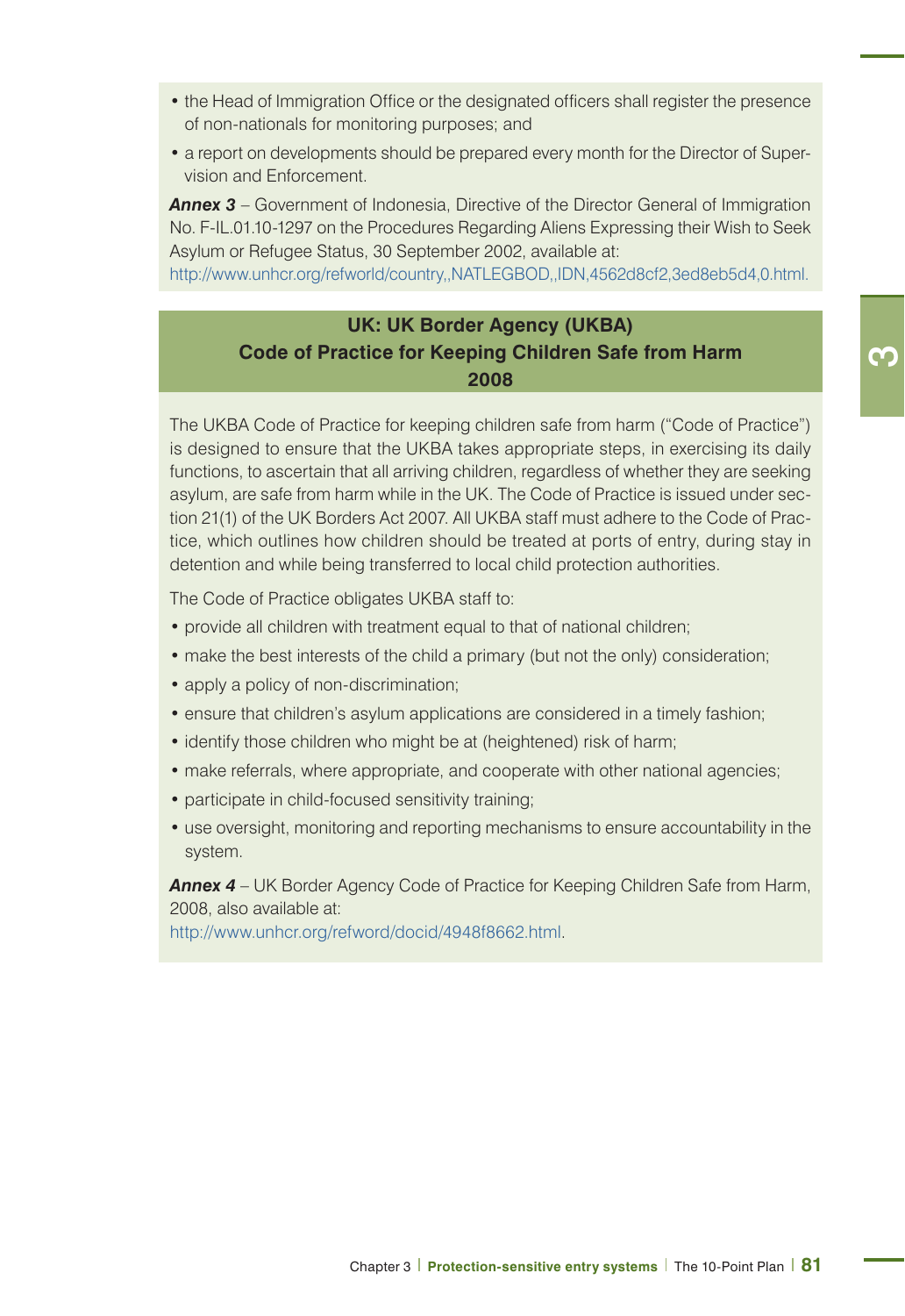- the Head of Immigration Office or the designated officers shall register the presence of non-nationals for monitoring purposes; and
- a report on developments should be prepared every month for the Director of Supervision and Enforcement.

**Annex 3** – Government of Indonesia, Directive of the Director General of Immigration No. F-IL.01.10-1297 on the Procedures Regarding Aliens Expressing their Wish to Seek Asylum or Refugee Status, 30 September 2002, available at:

<http://www.unhcr.org/refworld/country,,NATLEGBOD,,IDN,4562d8cf2,3ed8eb5d4,0.html>.

# UK: UK Border Agency (UKBA) **Code of Practice for Keeping Children Safe from Harm 2008**

The UKBA Code of Practice for keeping children safe from harm ("Code of Practice") is designed to ensure that the UKBA takes appropriate steps, in exercising its daily functions, to ascertain that all arriving children, regardless of whether they are seeking asylum, are safe from harm while in the UK. The Code of Practice is issued under section 21(1) of the UK Borders Act 2007. All UKBA staff must adhere to the Code of Practice, which outlines how children should be treated at ports of entry, during stay in detention and while being transferred to local child protection authorities.

The Code of Practice obligates UKBA staff to:

- provide all children with treatment equal to that of national children;
- make the best interests of the child a primary (but not the only) consideration;
- apply a policy of non-discrimination;
- ensure that children's asylum applications are considered in a timely fashion;
- identify those children who might be at (heightened) risk of harm;
- make referrals, where appropriate, and cooperate with other national agencies;
- participate in child-focused sensitivity training;
- use oversight, monitoring and reporting mechanisms to ensure accountability in the system.

*Annex 4* – UK Border Agency Code of Practice for Keeping Children Safe from Harm, 2008, also available at:

<http://www.unhcr.org/refword/docid/4948f8662.html>.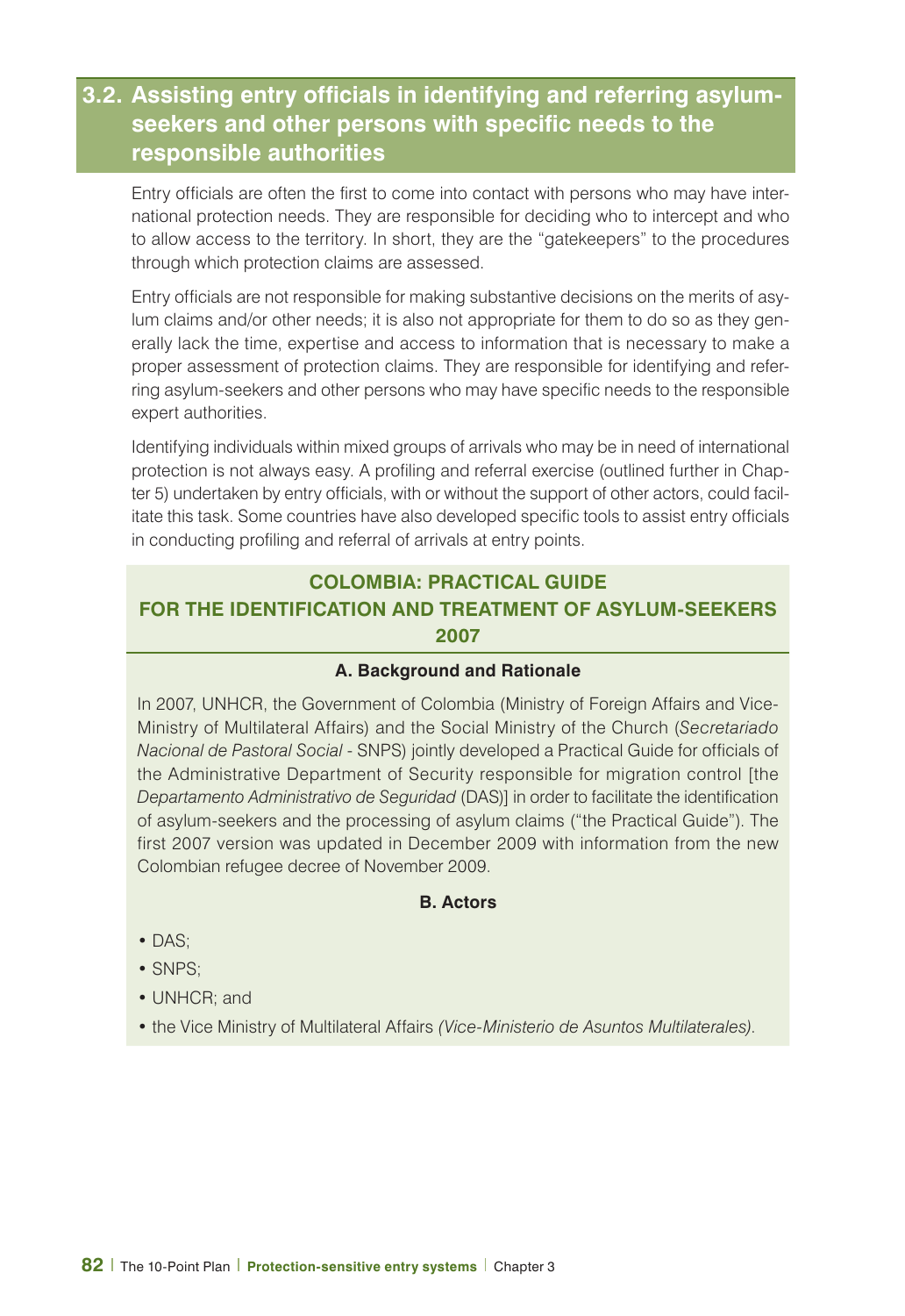# **3.2. Assisting entry officials in identifying and referring asylum seekers and other persons with specific needs to the responsible authorities**

Entry officials are often the first to come into contact with persons who may have international protection needs. They are responsible for deciding who to intercept and who to allow access to the territory. In short, they are the "gatekeepers" to the procedures through which protection claims are assessed.

Entry officials are not responsible for making substantive decisions on the merits of asylum claims and/or other needs; it is also not appropriate for them to do so as they generally lack the time, expertise and access to information that is necessary to make a proper assessment of protection claims. They are responsible for identifying and referring asylum-seekers and other persons who may have specific needs to the responsible expert authorities.

Identifying individuals within mixed groups of arrivals who may be in need of international protection is not always easy. A profiling and referral exercise (outlined further in Chapter 5) undertaken by entry officials, with or without the support of other actors, could facilitate this task. Some countries have also developed specific tools to assist entry officials in conducting profiling and referral of arrivals at entry points.

# **COLOMBIA: PRACTICAL GUIDE FOR THE IDENTIFICATION AND TREATMENT OF ASYLUM-SEEKERS 2007**

#### **A. Background and Rationale**

In 2007, UNHCR, the Government of Colombia (Ministry of Foreign Affairs and Vice-Ministry of Multilateral Affairs) and the Social Ministry of the Church (*Secretariado Nacional de Pastoral Social* - SNPS) jointly developed a Practical Guide for officials of the Administrative Department of Security responsible for migration control [the *Departamento Administrativo de Seguridad* (DAS)] in order to facilitate the identification of asylum-seekers and the processing of asylum claims ("the Practical Guide"). The first 2007 version was updated in December 2009 with information from the new Colombian refugee decree of November 2009.

#### **B. Actors**

- DAS;
- SNPS;
- UNHCR; and
- the Vice Ministry of Multilateral Affairs *(Vice-Ministerio de Asuntos Multilaterales)*.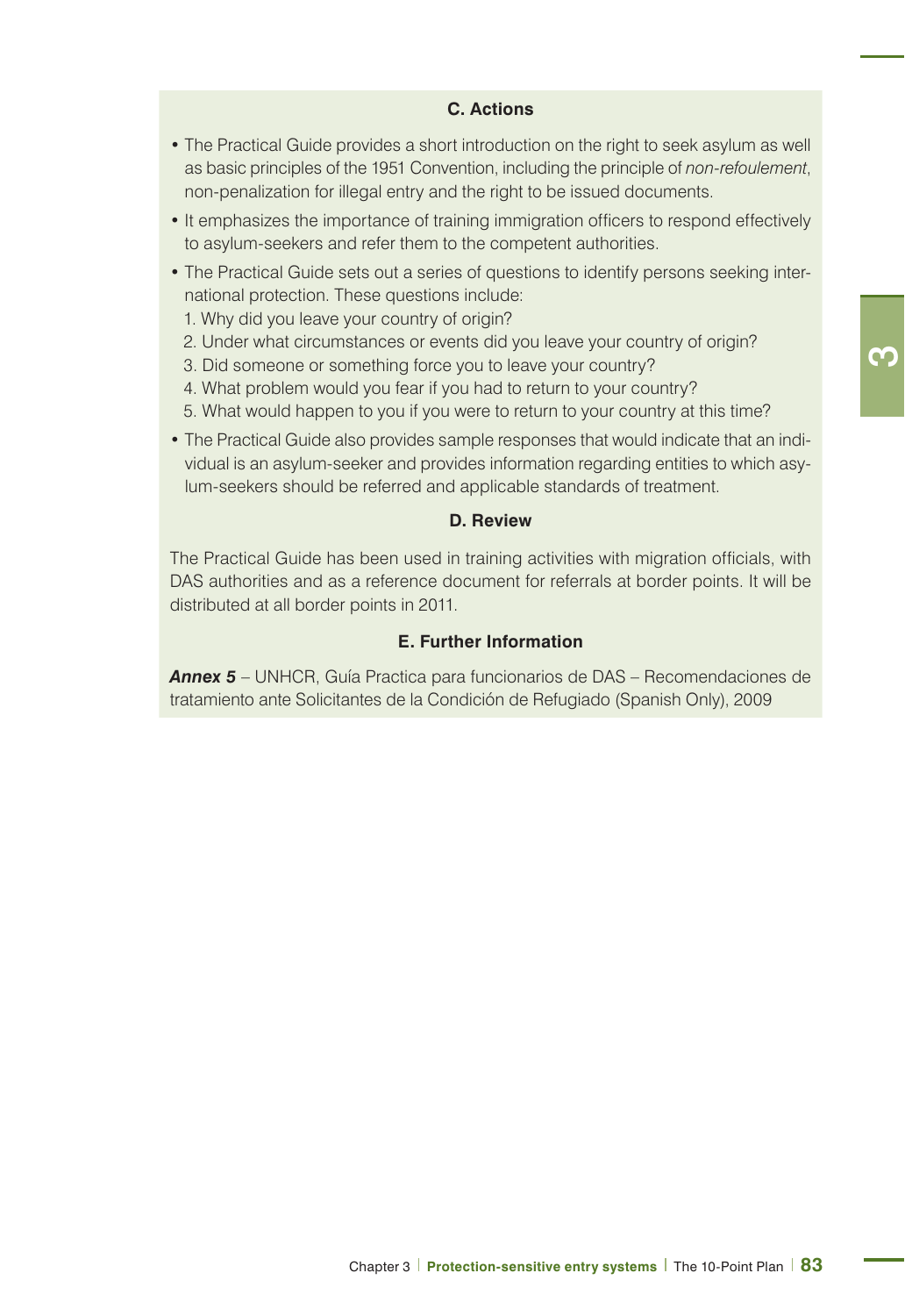#### **C. Actions**

- The Practical Guide provides a short introduction on the right to seek asylum as well as basic principles of the 1951 Convention, including the principle of *non-refoulement*, non-penalization for illegal entry and the right to be issued documents.
- It emphasizes the importance of training immigration officers to respond effectively to asylum-seekers and refer them to the competent authorities.
- The Practical Guide sets out a series of questions to identify persons seeking international protection. These questions include:
	- 1. Why did you leave your country of origin?
	- 2. Under what circumstances or events did you leave your country of origin?
	- 3. Did someone or something force you to leave your country?
	- 4. What problem would you fear if you had to return to your country?
	- 5. What would happen to you if you were to return to your country at this time?
- The Practical Guide also provides sample responses that would indicate that an individual is an asylum-seeker and provides information regarding entities to which asylum-seekers should be referred and applicable standards of treatment.

#### **D. Review**

The Practical Guide has been used in training activities with migration officials, with DAS authorities and as a reference document for referrals at border points. It will be distributed at all border points in 2011.

#### **E. Further Information**

*Annex 5* – UNHCR, Guía Practica para funcionarios de DAS – Recomendaciones de tratamiento ante Solicitantes de la Condición de Refugiado (Spanish Only), 2009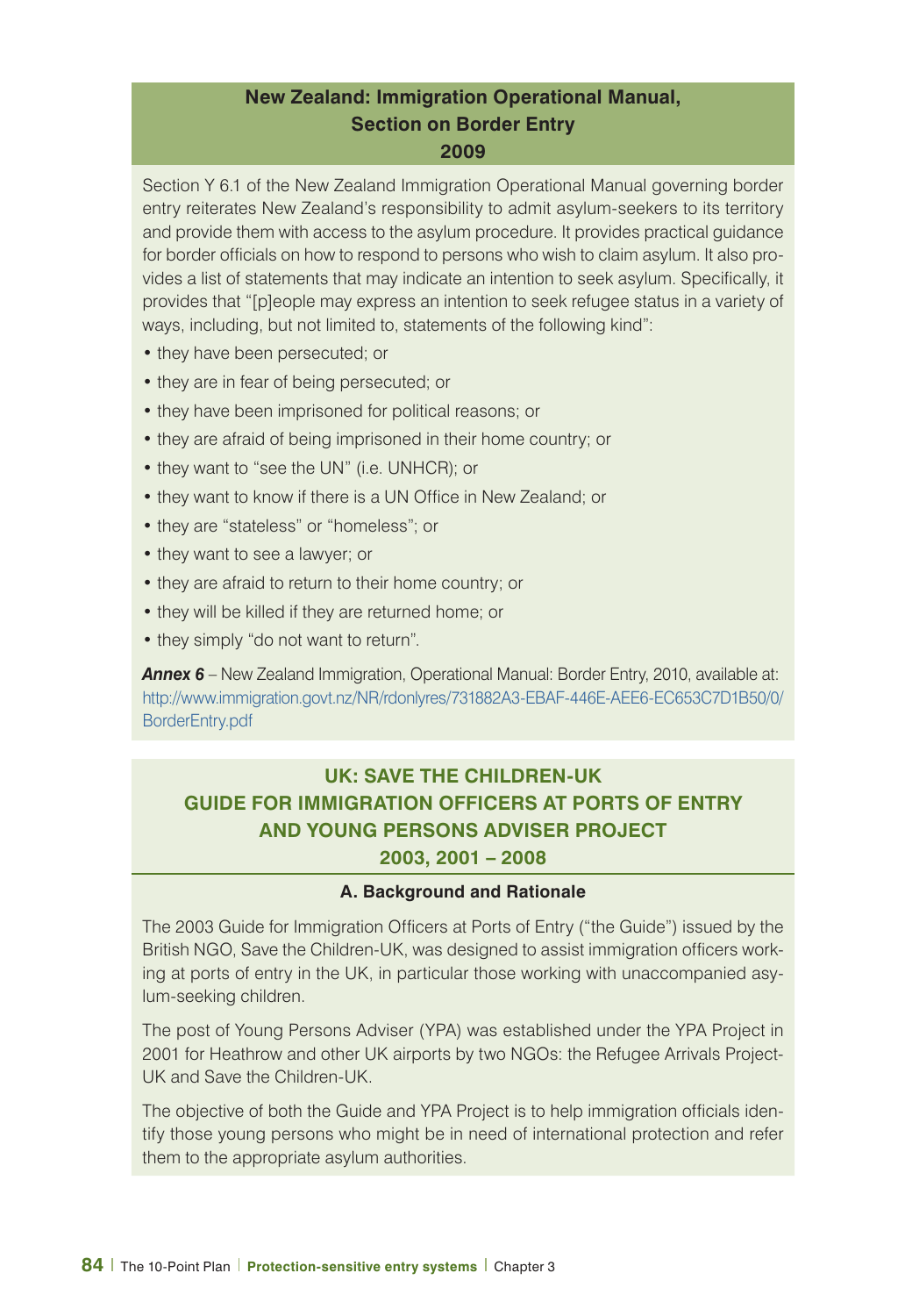#### **New Zealand: Immigration Operational Manual, Section on Border Entry 2009**

Section Y 6.1 of the New Zealand Immigration Operational Manual governing border entry reiterates New Zealand's responsibility to admit asylum-seekers to its territory and provide them with access to the asylum procedure. It provides practical guidance for border officials on how to respond to persons who wish to claim asylum. It also provides a list of statements that may indicate an intention to seek asylum. Specifically, it provides that "[p]eople may express an intention to seek refugee status in a variety of ways, including, but not limited to, statements of the following kind":

- they have been persecuted; or
- they are in fear of being persecuted; or
- they have been imprisoned for political reasons; or
- they are afraid of being imprisoned in their home country; or
- they want to "see the UN" (i.e. UNHCR); or
- they want to know if there is a UN Office in New Zealand; or
- they are "stateless" or "homeless"; or
- they want to see a lawyer; or
- they are afraid to return to their home country; or
- they will be killed if they are returned home; or
- they simply "do not want to return".

*Annex 6* – New Zealand Immigration, Operational Manual: Border Entry, 2010, available at: [http://www.immigration.govt.nz/NR/rdonlyres/731882A3-EBAF-446E-AEE6-EC653C7D1B50/0/](http://www.immigration.govt.nz/NR/rdonlyres/731882A3-EBAF-446E-AEE6-EC653C7D1B50/0/BorderEntry.pdf) [BorderEntry.pdf](http://www.immigration.govt.nz/NR/rdonlyres/731882A3-EBAF-446E-AEE6-EC653C7D1B50/0/BorderEntry.pdf)

# **UK: SAVE THE CHILDREN-UK GUIDE FOR IMMIGRATION OFFICERS AT PORTS OF ENTRY AND YOUNG PERSONS ADVISER PROJECT 2003, 2001 – 2008**

#### **A. Background and Rationale**

The 2003 Guide for Immigration Officers at Ports of Entry ("the Guide") issued by the British NGO, Save the Children-UK, was designed to assist immigration officers working at ports of entry in the UK, in particular those working with unaccompanied asylum-seeking children.

The post of Young Persons Adviser (YPA) was established under the YPA Project in 2001 for Heathrow and other UK airports by two NGOs: the Refugee Arrivals Project-UK and Save the Children-UK.

The objective of both the Guide and YPA Project is to help immigration officials identify those young persons who might be in need of international protection and refer them to the appropriate asylum authorities.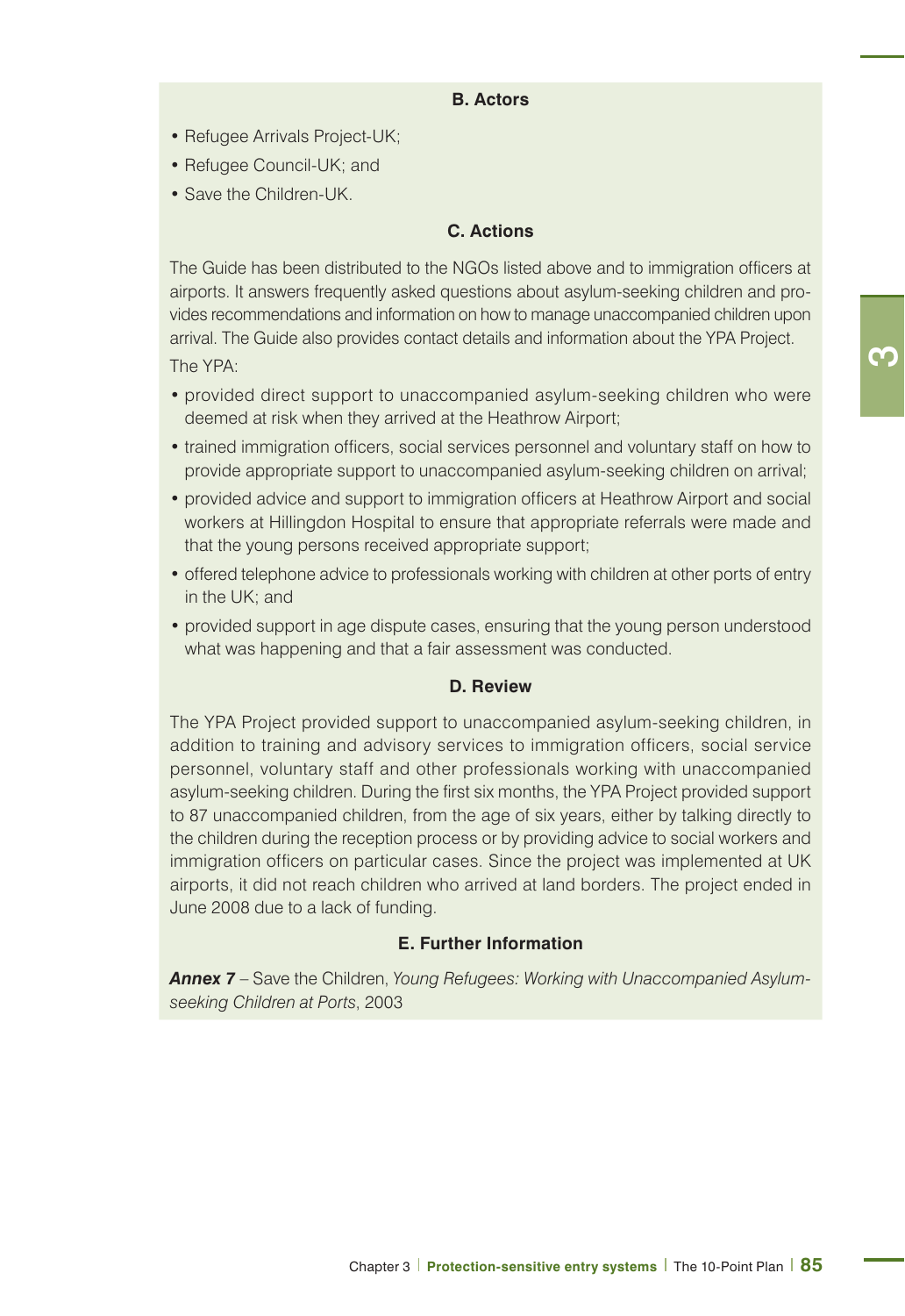#### **B. Actors**

- Refugee Arrivals Project-UK;
- Refugee Council-UK; and
- Save the Children-UK.

#### **C. Actions**

The Guide has been distributed to the NGOs listed above and to immigration officers at airports. It answers frequently asked questions about asylum-seeking children and provides recommendations and information on how to manage unaccompanied children upon arrival. The Guide also provides contact details and information about the YPA Project.

The YPA:

- provided direct support to unaccompanied asylum-seeking children who were deemed at risk when they arrived at the Heathrow Airport;
- trained immigration officers, social services personnel and voluntary staff on how to provide appropriate support to unaccompanied asylum-seeking children on arrival;
- provided advice and support to immigration officers at Heathrow Airport and social workers at Hillingdon Hospital to ensure that appropriate referrals were made and that the young persons received appropriate support;
- offered telephone advice to professionals working with children at other ports of entry in the UK; and
- provided support in age dispute cases, ensuring that the young person understood what was happening and that a fair assessment was conducted.

#### **D. Review**

The YPA Project provided support to unaccompanied asylum-seeking children, in addition to training and advisory services to immigration officers, social service personnel, voluntary staff and other professionals working with unaccompanied asylum-seeking children. During the first six months, the YPA Project provided support to 87 unaccompanied children, from the age of six years, either by talking directly to the children during the reception process or by providing advice to social workers and immigration officers on particular cases. Since the project was implemented at UK airports, it did not reach children who arrived at land borders. The project ended in June 2008 due to a lack of funding.

#### **E. Further Information**

*Annex 7* – Save the Children, *Young Refugees: Working with Unaccompanied Asylumseeking Children at Ports*, 2003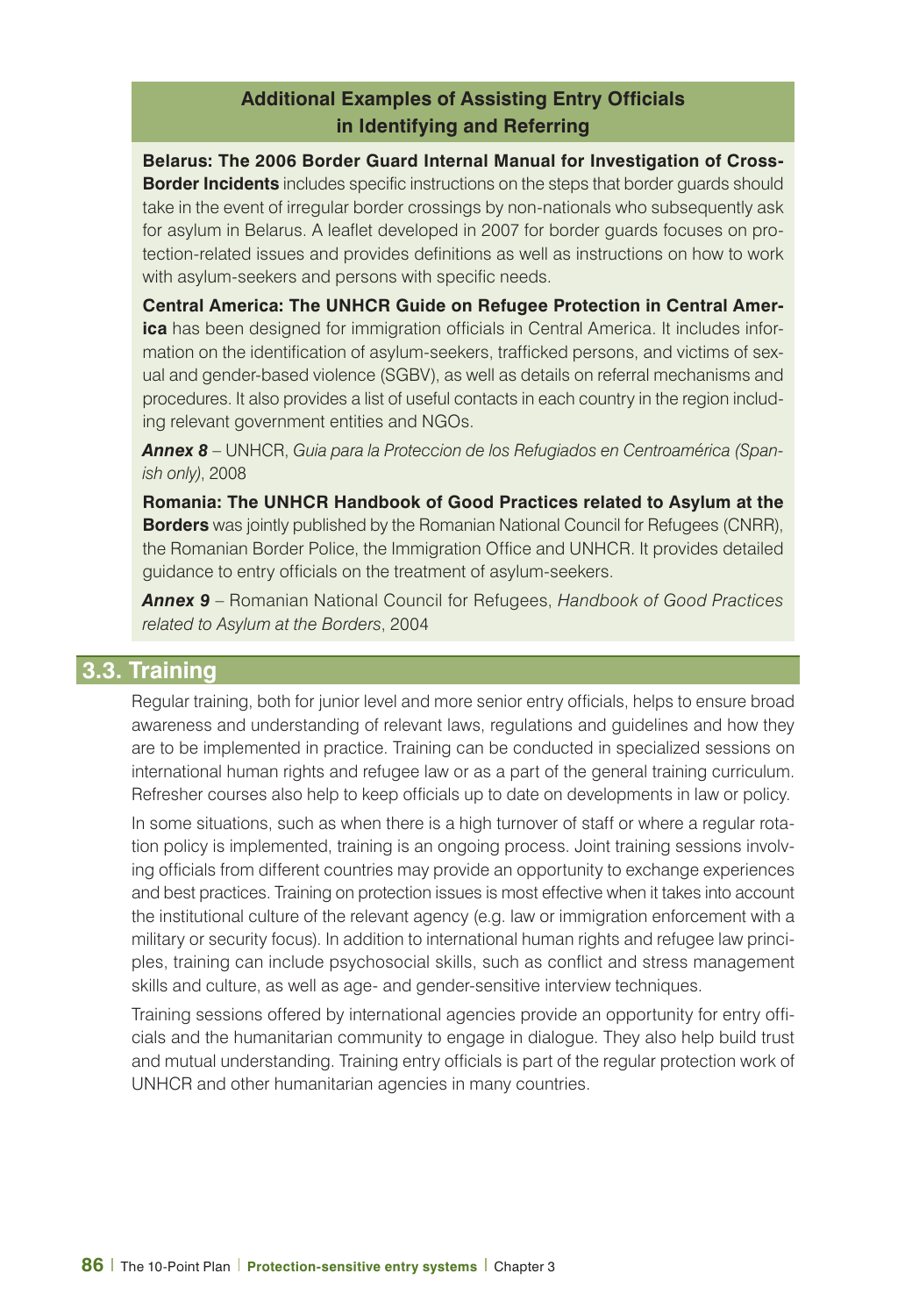# **Additional Examples of Assisting Entry Officials in Identifying and Referring**

**Belarus: The 2006 Border Guard Internal Manual for Investigation of Cross-Border Incidents** includes specific instructions on the steps that border quards should take in the event of irregular border crossings by non-nationals who subsequently ask for asylum in Belarus. A leaflet developed in 2007 for border guards focuses on protection-related issues and provides definitions as well as instructions on how to work with asylum-seekers and persons with specific needs.

**Central America: The UNHCR Guide on Refugee Protection in Central America** has been designed for immigration officials in Central America. It includes information on the identification of asylum-seekers, trafficked persons, and victims of sexual and gender-based violence (SGBV), as well as details on referral mechanisms and procedures. It also provides a list of useful contacts in each country in the region including relevant government entities and NGOs.

*Annex 8* – UNHCR, *Guia para la Proteccion de los Refugiados en Centroamérica (Spanish only)*, 2008

**Romania: The UNHCR Handbook of Good Practices related to Asylum at the Borders** was jointly published by the Romanian National Council for Refugees (CNRR), the Romanian Border Police, the Immigration Office and UNHCR. It provides detailed guidance to entry officials on the treatment of asylum-seekers.

*Annex 9* – Romanian National Council for Refugees, *Handbook of Good Practices related to Asylum at the Borders*, 2004

# **3.3. Training**

Regular training, both for junior level and more senior entry officials, helps to ensure broad awareness and understanding of relevant laws, regulations and guidelines and how they are to be implemented in practice. Training can be conducted in specialized sessions on international human rights and refugee law or as a part of the general training curriculum. Refresher courses also help to keep officials up to date on developments in law or policy.

In some situations, such as when there is a high turnover of staff or where a regular rotation policy is implemented, training is an ongoing process. Joint training sessions involving officials from different countries may provide an opportunity to exchange experiences and best practices. Training on protection issues is most effective when it takes into account the institutional culture of the relevant agency (e.g. law or immigration enforcement with a military or security focus). In addition to international human rights and refugee law principles, training can include psychosocial skills, such as conflict and stress management skills and culture, as well as age- and gender-sensitive interview techniques.

Training sessions offered by international agencies provide an opportunity for entry officials and the humanitarian community to engage in dialogue. They also help build trust and mutual understanding. Training entry officials is part of the regular protection work of UNHCR and other humanitarian agencies in many countries.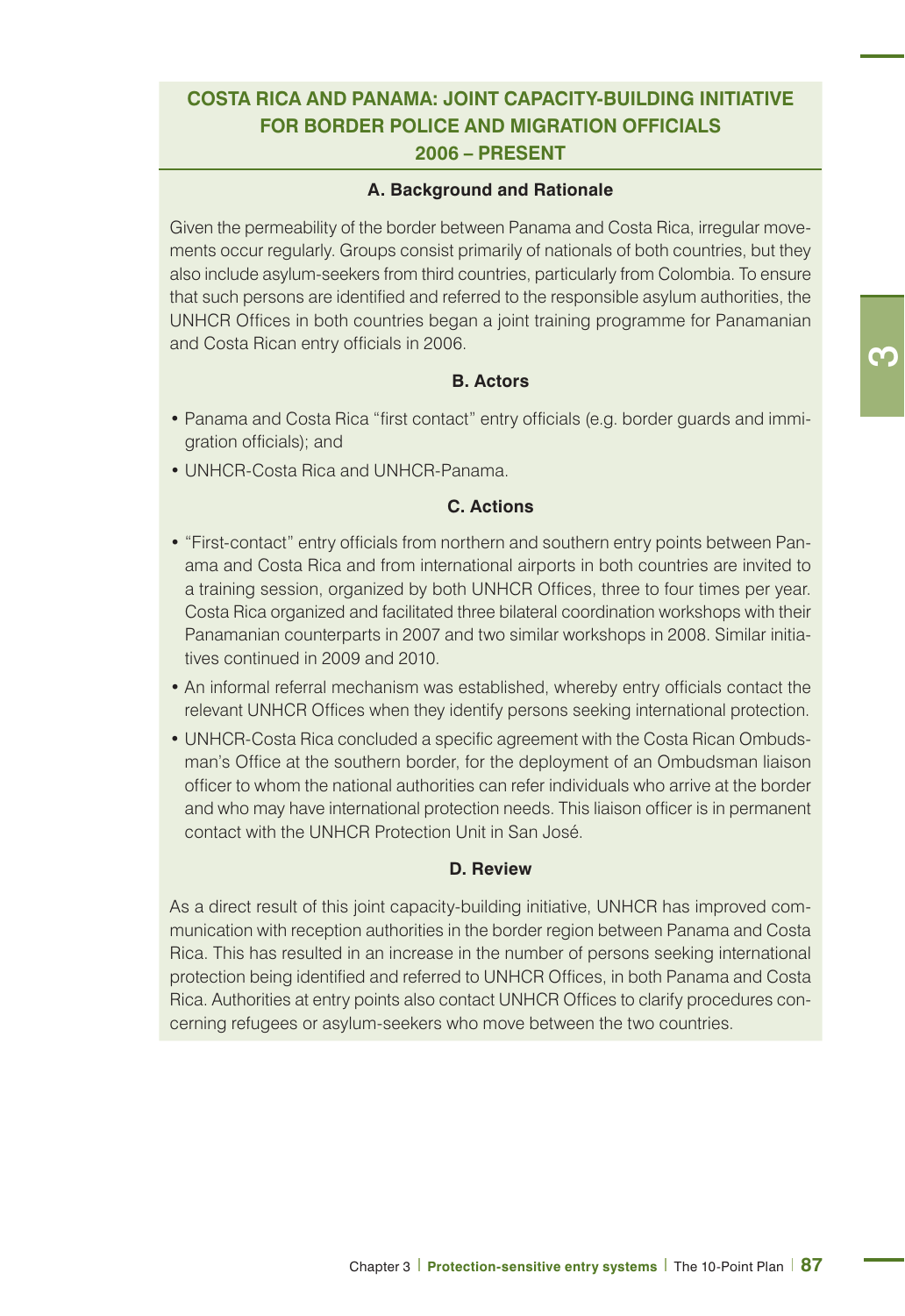# **COSTA RICA AND PANAMA: JOINT CAPACITY-BUILDING INITIATIVE FOR BORDER POLICE AND MIGRATION OFFICIALS 2006 – PRESENT**

#### **A. Background and Rationale**

Given the permeability of the border between Panama and Costa Rica, irregular movements occur regularly. Groups consist primarily of nationals of both countries, but they also include asylum-seekers from third countries, particularly from Colombia. To ensure that such persons are identified and referred to the responsible asylum authorities, the UNHCR Offices in both countries began a joint training programme for Panamanian and Costa Rican entry officials in 2006.

#### **B. Actors**

- Panama and Costa Rica "first contact" entry officials (e.g. border guards and immigration officials); and
- UNHCR-Costa Rica and UNHCR-Panama.

#### **C. Actions**

- "First-contact" entry officials from northern and southern entry points between Panama and Costa Rica and from international airports in both countries are invited to a training session, organized by both UNHCR Offices, three to four times per year. Costa Rica organized and facilitated three bilateral coordination workshops with their Panamanian counterparts in 2007 and two similar workshops in 2008. Similar initiatives continued in 2009 and 2010.
- An informal referral mechanism was established, whereby entry officials contact the relevant UNHCR Offices when they identify persons seeking international protection.
- UNHCR-Costa Rica concluded a specific agreement with the Costa Rican Ombudsman's Office at the southern border, for the deployment of an Ombudsman liaison officer to whom the national authorities can refer individuals who arrive at the border and who may have international protection needs. This liaison officer is in permanent contact with the UNHCR Protection Unit in San José.

#### **D. Review**

As a direct result of this joint capacity-building initiative, UNHCR has improved communication with reception authorities in the border region between Panama and Costa Rica. This has resulted in an increase in the number of persons seeking international protection being identified and referred to UNHCR Offices, in both Panama and Costa Rica. Authorities at entry points also contact UNHCR Offices to clarify procedures concerning refugees or asylum-seekers who move between the two countries.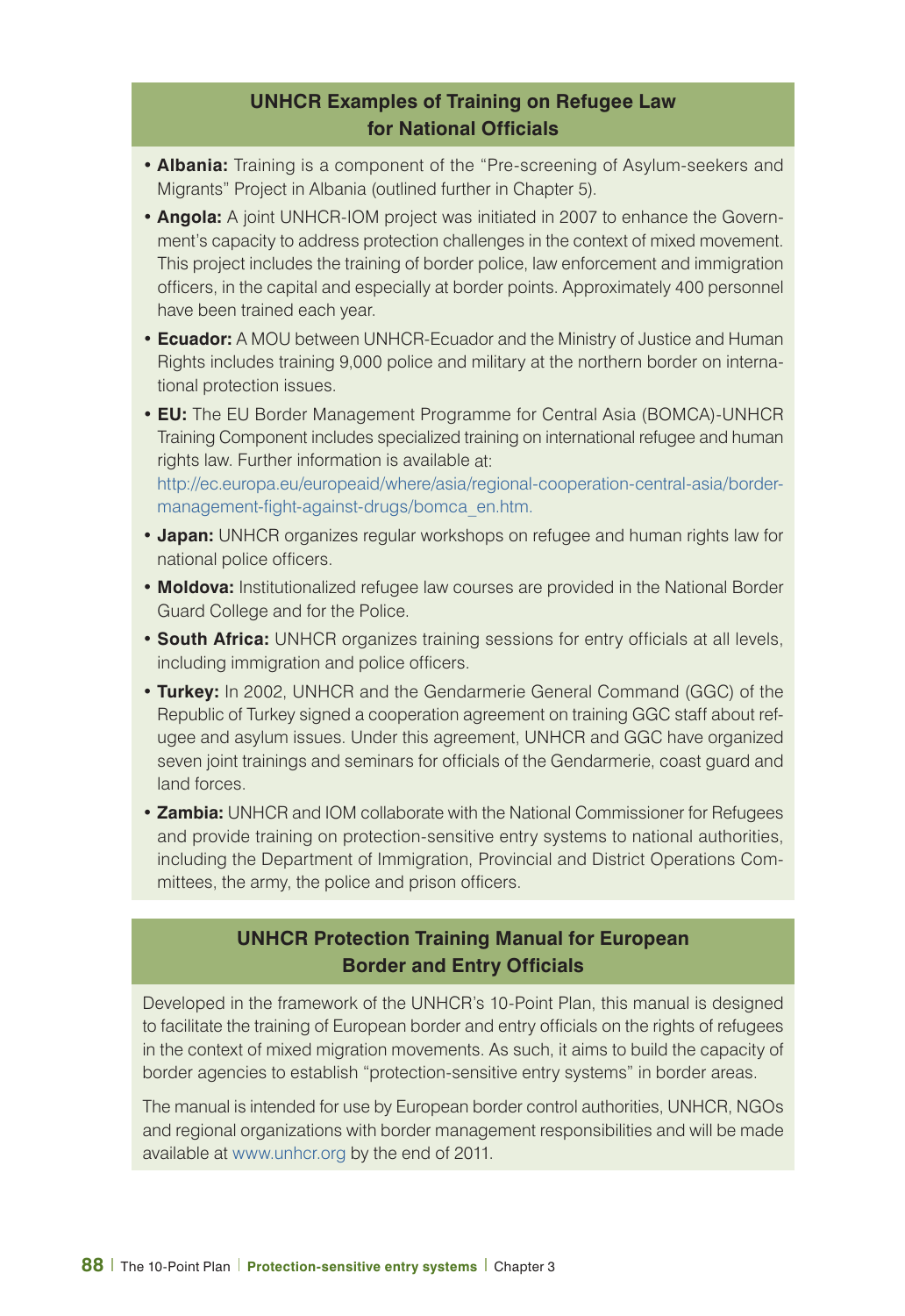### **unhcr Examples of Training on Refugee Law for National Officials**

- **Albania:** Training is a component of the "Pre-screening of Asylum-seekers and Migrants" Project in Albania (outlined further in Chapter 5).
- **Angola:** A joint UNHCR-IOM project was initiated in 2007 to enhance the Government's capacity to address protection challenges in the context of mixed movement. This project includes the training of border police, law enforcement and immigration officers, in the capital and especially at border points. Approximately 400 personnel have been trained each year.
- **Ecuador:** A MOU between UNHCR-Ecuador and the Ministry of Justice and Human Rights includes training 9,000 police and military at the northern border on international protection issues.
- **EU:** The EU Border Management Programme for Central Asia (BOMCA)-UNHCR Training Component includes specialized training on international refugee and human rights law. Further information is available at: [http://ec.europa.eu/europeaid/where/asia/regional-cooperation-central-asia/border](http://ec.europa.eu/europeaid/where/asia/regional-cooperation-central-asia/border-management-fight-against-drugs/bomca_en.htm)[management-fight-against-drugs/bomca\\_en.htm](http://ec.europa.eu/europeaid/where/asia/regional-cooperation-central-asia/border-management-fight-against-drugs/bomca_en.htm).
- **Japan:** UNHCR organizes regular workshops on refugee and human rights law for national police officers.
- **Moldova:** Institutionalized refugee law courses are provided in the National Border Guard College and for the Police.
- **South Africa:** UNHCR organizes training sessions for entry officials at all levels, including immigration and police officers.
- **Turkey:** In 2002, UNHCR and the Gendarmerie General Command (GGC) of the Republic of Turkey signed a cooperation agreement on training GGC staff about refugee and asylum issues. Under this agreement, UNHCR and GGC have organized seven joint trainings and seminars for officials of the Gendarmerie, coast guard and land forces.
- **Zambia:** UNHCR and IOM collaborate with the National Commissioner for Refugees and provide training on protection-sensitive entry systems to national authorities, including the Department of Immigration, Provincial and District Operations Committees, the army, the police and prison officers.

# **UNHCR Protection Training Manual for European Border and Entry Officials**

Developed in the framework of the UNHCR's 10-Point Plan, this manual is designed to facilitate the training of European border and entry officials on the rights of refugees in the context of mixed migration movements. As such, it aims to build the capacity of border agencies to establish "protection-sensitive entry systems" in border areas.

The manual is intended for use by European border control authorities, UNHCR, NGOs and regional organizations with border management responsibilities and will be made available at [www.unhcr.org](http://www.unhcr.org) by the end of 2011.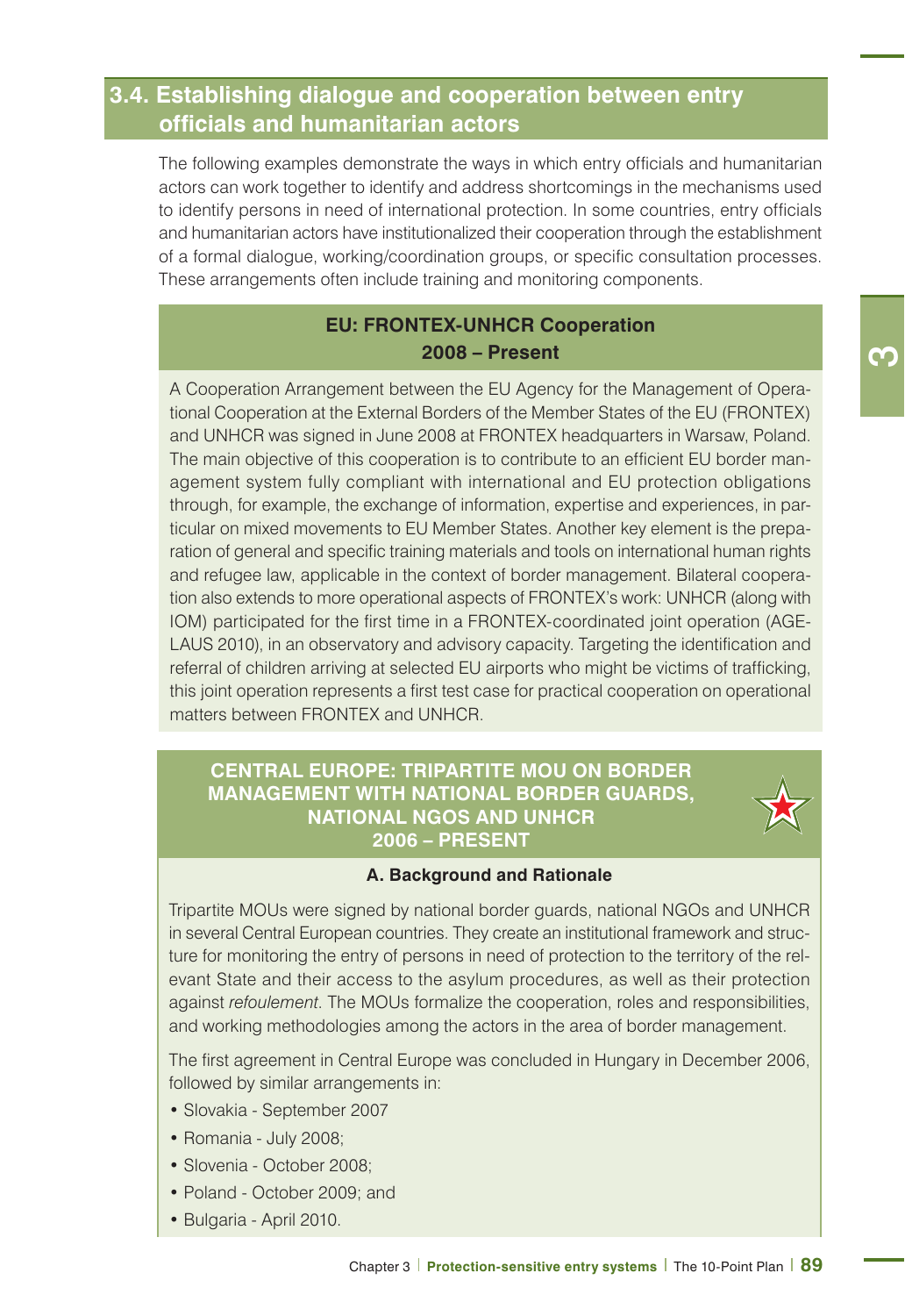# **3.4. Establishing dialogue and cooperation between entry officials and humanitarian actors**

The following examples demonstrate the ways in which entry officials and humanitarian actors can work together to identify and address shortcomings in the mechanisms used to identify persons in need of international protection. In some countries, entry officials and humanitarian actors have institutionalized their cooperation through the establishment of a formal dialogue, working/coordination groups, or specific consultation processes. These arrangements often include training and monitoring components.

# **EU: FRONTEX-UNHCR Cooperation 2008 – Present**

A Cooperation Arrangement between the EU Agency for the Management of Operational Cooperation at the External Borders of the Member States of the EU (FRONTEX) and UNHCR was signed in June 2008 at FRONTEX headquarters in Warsaw, Poland. The main objective of this cooperation is to contribute to an efficient EU border management system fully compliant with international and EU protection obligations through, for example, the exchange of information, expertise and experiences, in particular on mixed movements to EU Member States. Another key element is the preparation of general and specific training materials and tools on international human rights and refugee law, applicable in the context of border management. Bilateral cooperation also extends to more operational aspects of FRONTEX's work: UNHCR (along with IOM) participated for the first time in a FRONTEX-coordinated joint operation (AGE-LAUS 2010), in an observatory and advisory capacity. Targeting the identification and referral of children arriving at selected EU airports who might be victims of trafficking, this joint operation represents a first test case for practical cooperation on operational matters between FRONTEX and UNHCR.

### **CENTRAL EUROPE: TRIPARTITE MOU ON BORDER MANAGEMENT WITH NATIONAL BORDER GUARDS, NATIONAL NGOS AND UNHCR 2006 – PRESENT**

#### **A. Background and Rationale**

Tripartite MOUs were signed by national border guards, national NGOs and UNHCR in several Central European countries. They create an institutional framework and structure for monitoring the entry of persons in need of protection to the territory of the relevant State and their access to the asylum procedures, as well as their protection against *refoulement*. The MOUs formalize the cooperation, roles and responsibilities, and working methodologies among the actors in the area of border management.

The first agreement in Central Europe was concluded in Hungary in December 2006, followed by similar arrangements in:

- Slovakia September 2007
- Romania July 2008;
- Slovenia October 2008;
- Poland October 2009; and
- Bulgaria April 2010.

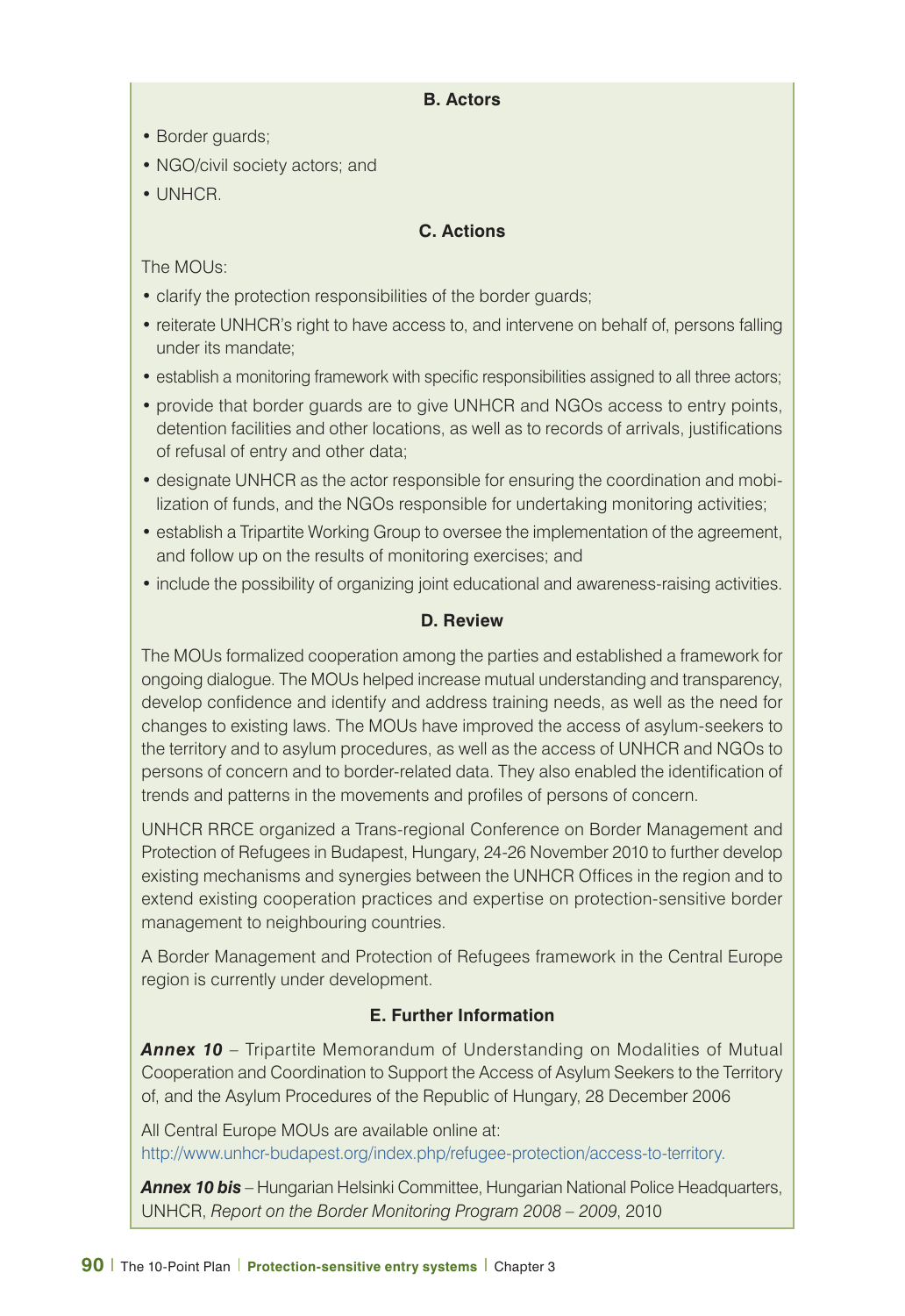#### **B. Actors**

- Border guards;
- NGO/civil society actors: and
- UNHCR.

#### **C. Actions**

The MOUs:

- clarify the protection responsibilities of the border quards:
- reiterate UNHCR's right to have access to, and intervene on behalf of, persons falling under its mandate;
- establish a monitoring framework with specific responsibilities assigned to all three actors;
- provide that border guards are to give UNHCR and NGOs access to entry points, detention facilities and other locations, as well as to records of arrivals, justifications of refusal of entry and other data;
- designate UNHCR as the actor responsible for ensuring the coordination and mobilization of funds, and the NGOs responsible for undertaking monitoring activities;
- establish a Tripartite Working Group to oversee the implementation of the agreement, and follow up on the results of monitoring exercises; and
- include the possibility of organizing joint educational and awareness-raising activities.

#### **D. Review**

The MOUs formalized cooperation among the parties and established a framework for ongoing dialogue. The MOUs helped increase mutual understanding and transparency, develop confidence and identify and address training needs, as well as the need for changes to existing laws. The MOUs have improved the access of asylum-seekers to the territory and to asylum procedures, as well as the access of UNHCR and NGOs to persons of concern and to border-related data. They also enabled the identification of trends and patterns in the movements and profiles of persons of concern.

UNHCR RRCE organized a Trans-regional Conference on Border Management and Protection of Refugees in Budapest, Hungary, 24-26 November 2010 to further develop existing mechanisms and synergies between the UNHCR Offices in the region and to extend existing cooperation practices and expertise on protection-sensitive border management to neighbouring countries.

A Border Management and Protection of Refugees framework in the Central Europe region is currently under development.

#### **E. Further Information**

**Annex 10** – Tripartite Memorandum of Understanding on Modalities of Mutual Cooperation and Coordination to Support the Access of Asylum Seekers to the Territory of, and the Asylum Procedures of the Republic of Hungary, 28 December 2006

All Central Europe MOUs are available online at: <http://www.unhcr-budapest.org/index.php/refugee-protection/access-to-territory>.

*Annex 10 bis* – Hungarian Helsinki Committee, Hungarian National Police Headquarters, UNHCR, *Report on the Border Monitoring Program 2008 – 2009*, 2010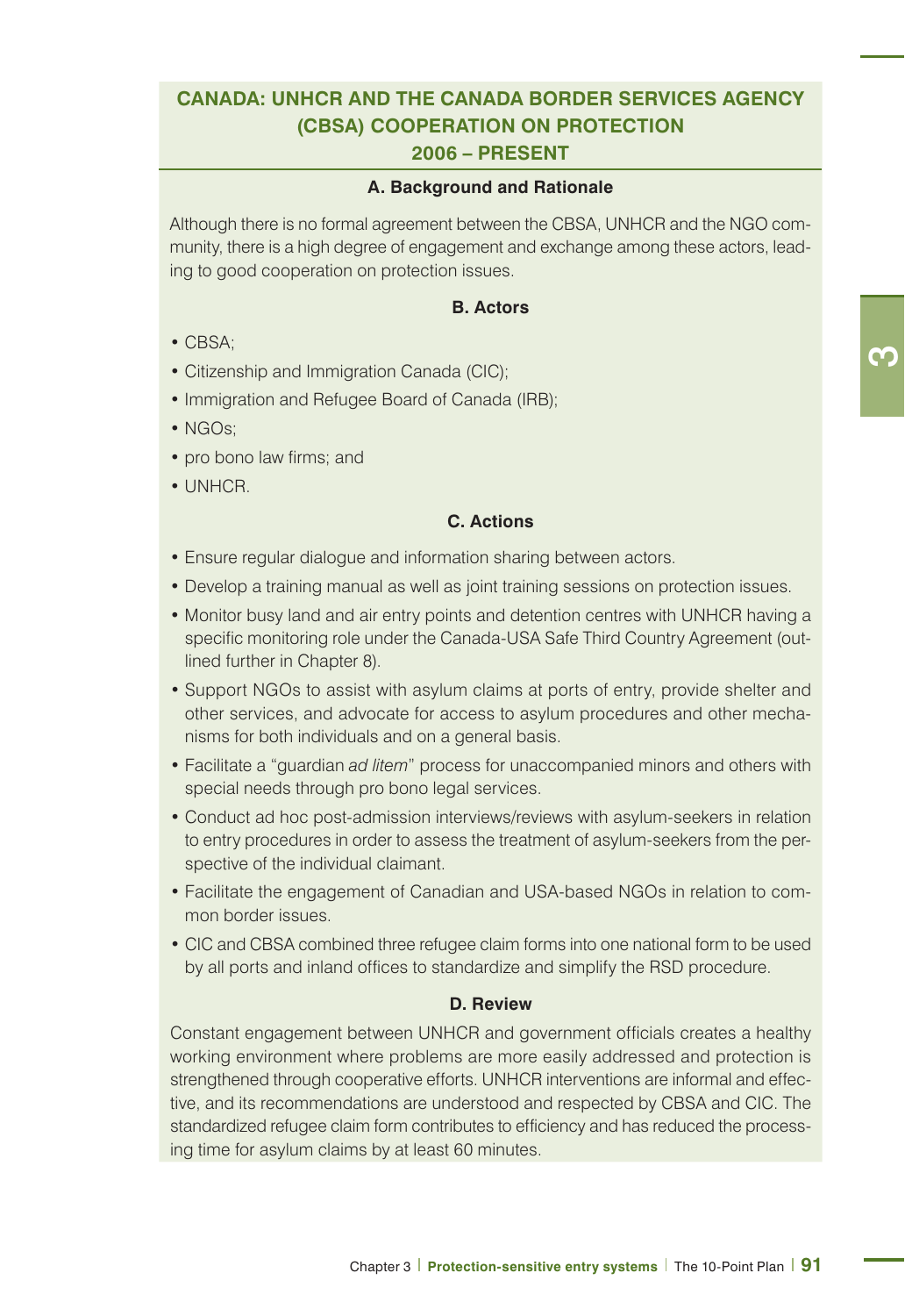### **CANADA: UNHCR AND THE CANADA BORDER SERVICES AGENCY (CBSA) COOPERATION ON PROTECTION 2006 – PRESENT**

#### **A. Background and Rationale**

Although there is no formal agreement between the CBSA, UNHCR and the NGO community, there is a high degree of engagement and exchange among these actors, leading to good cooperation on protection issues.

#### **B. Actors**

- CBSA;
- Citizenship and Immigration Canada (CIC);
- Immigration and Refugee Board of Canada (IRB);
- NGOs;
- pro bono law firms; and
- UNHCR.

#### **C. Actions**

- Ensure regular dialogue and information sharing between actors.
- Develop a training manual as well as joint training sessions on protection issues.
- Monitor busy land and air entry points and detention centres with UNHCR having a specific monitoring role under the Canada-USA Safe Third Country Agreement (outlined further in Chapter 8).
- Support NGOs to assist with asylum claims at ports of entry, provide shelter and other services, and advocate for access to asylum procedures and other mechanisms for both individuals and on a general basis.
- Facilitate a "guardian *ad litem*" process for unaccompanied minors and others with special needs through pro bono legal services.
- Conduct ad hoc post-admission interviews/reviews with asylum-seekers in relation to entry procedures in order to assess the treatment of asylum-seekers from the perspective of the individual claimant.
- Facilitate the engagement of Canadian and USA-based NGOs in relation to common border issues.
- CIC and CBSA combined three refugee claim forms into one national form to be used by all ports and inland offices to standardize and simplify the RSD procedure.

#### **D. Review**

Constant engagement between UNHCR and government officials creates a healthy working environment where problems are more easily addressed and protection is strengthened through cooperative efforts. UNHCR interventions are informal and effective, and its recommendations are understood and respected by CBSA and CIC. The standardized refugee claim form contributes to efficiency and has reduced the processing time for asylum claims by at least 60 minutes.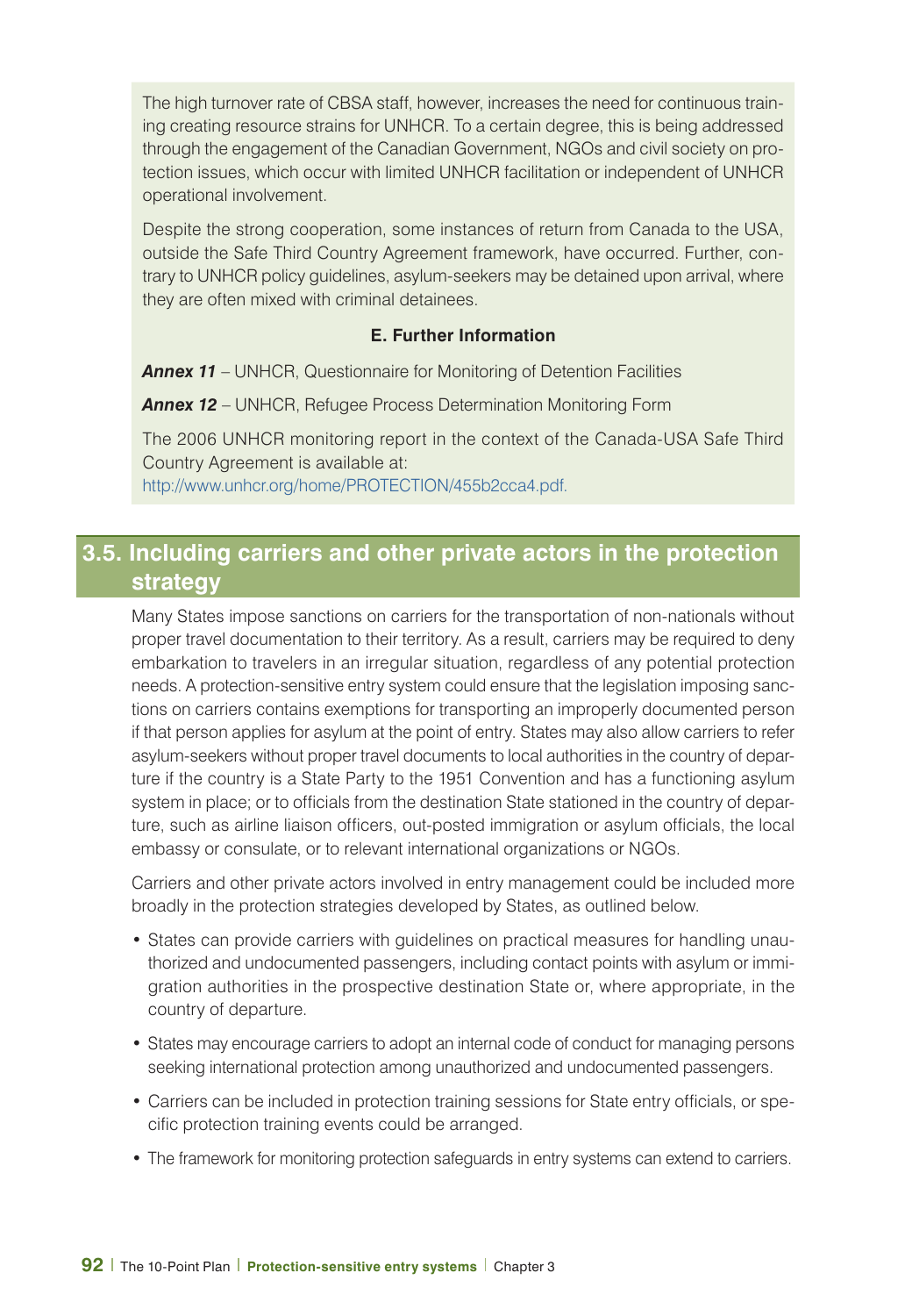The high turnover rate of CBSA staff, however, increases the need for continuous training creating resource strains for UNHCR. To a certain degree, this is being addressed through the engagement of the Canadian Government, NGOs and civil society on protection issues, which occur with limited UNHCR facilitation or independent of UNHCR operational involvement.

Despite the strong cooperation, some instances of return from Canada to the USA, outside the Safe Third Country Agreement framework, have occurred. Further, contrary to UNHCR policy guidelines, asylum-seekers may be detained upon arrival, where they are often mixed with criminal detainees.

#### **E. Further Information**

**Annex 11** – UNHCR, Questionnaire for Monitoring of Detention Facilities

*Annex 12* – UNHCR, Refugee Process Determination Monitoring Form

The 2006 UNHCR monitoring report in the context of the Canada-USA Safe Third Country Agreement is available at:

<http://www.unhcr.org/home/PROTECTION/455b2cca4.pdf>.

# **3.5. Including carriers and other private actors in the protection strategy**

Many States impose sanctions on carriers for the transportation of non-nationals without proper travel documentation to their territory. As a result, carriers may be required to deny embarkation to travelers in an irregular situation, regardless of any potential protection needs. A protection-sensitive entry system could ensure that the legislation imposing sanctions on carriers contains exemptions for transporting an improperly documented person if that person applies for asylum at the point of entry. States may also allow carriers to refer asylum-seekers without proper travel documents to local authorities in the country of departure if the country is a State Party to the 1951 Convention and has a functioning asylum system in place; or to officials from the destination State stationed in the country of departure, such as airline liaison officers, out-posted immigration or asylum officials, the local embassy or consulate, or to relevant international organizations or NGOs.

Carriers and other private actors involved in entry management could be included more broadly in the protection strategies developed by States, as outlined below.

- States can provide carriers with guidelines on practical measures for handling unauthorized and undocumented passengers, including contact points with asylum or immigration authorities in the prospective destination State or, where appropriate, in the country of departure.
- States may encourage carriers to adopt an internal code of conduct for managing persons seeking international protection among unauthorized and undocumented passengers.
- Carriers can be included in protection training sessions for State entry officials, or specific protection training events could be arranged.
- The framework for monitoring protection safeguards in entry systems can extend to carriers.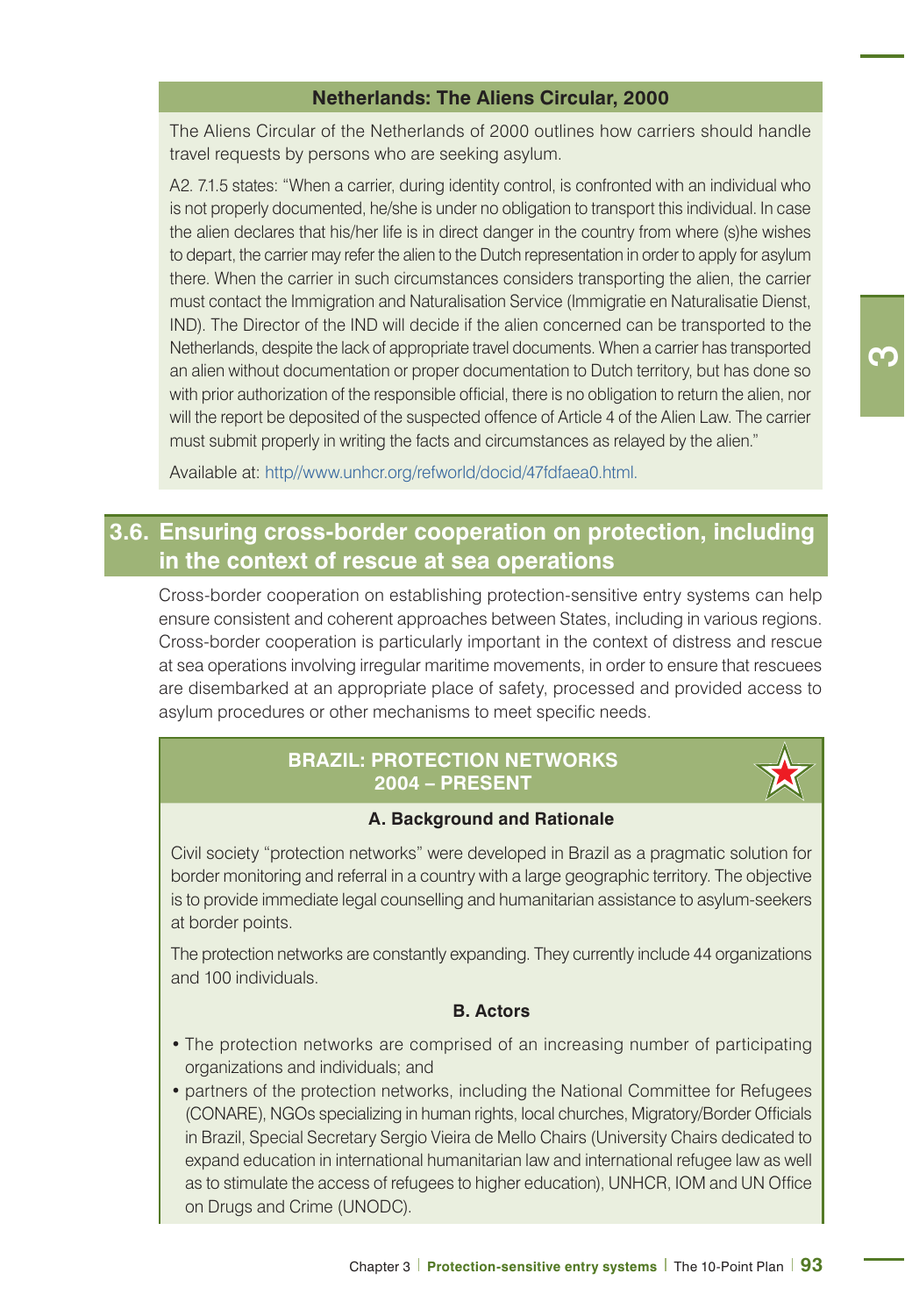#### **Netherlands: The Aliens Circular, 2000**

The Aliens Circular of the Netherlands of 2000 outlines how carriers should handle travel requests by persons who are seeking asylum.

A2. 7.1.5 states: "When a carrier, during identity control, is confronted with an individual who is not properly documented, he/she is under no obligation to transport this individual. In case the alien declares that his/her life is in direct danger in the country from where (s)he wishes to depart, the carrier may refer the alien to the Dutch representation in order to apply for asylum there. When the carrier in such circumstances considers transporting the alien, the carrier must contact the Immigration and Naturalisation Service (Immigratie en Naturalisatie Dienst, IND). The Director of the IND will decide if the alien concerned can be transported to the Netherlands, despite the lack of appropriate travel documents. When a carrier has transported an alien without documentation or proper documentation to Dutch territory, but has done so with prior authorization of the responsible official, there is no obligation to return the alien, nor will the report be deposited of the suspected offence of Article 4 of the Alien Law. The carrier must submit properly in writing the facts and circumstances as relayed by the alien."

Available at: [http//www.unhcr.org/refworld/docid/47fdfaea0.html.](http://http//www.unhcr.org/refworld/docid/47fdfaea0.html)

# **3.6. Ensuring cross-border cooperation on protection, including in the context of rescue at sea operations**

Cross-border cooperation on establishing protection-sensitive entry systems can help ensure consistent and coherent approaches between States, including in various regions. Cross-border cooperation is particularly important in the context of distress and rescue at sea operations involving irregular maritime movements, in order to ensure that rescuees are disembarked at an appropriate place of safety, processed and provided access to asylum procedures or other mechanisms to meet specific needs.

### **BRAZIL: PROTECTION NETWORKS 2004 – PRESENT**



#### **A. Background and Rationale**

Civil society "protection networks" were developed in Brazil as a pragmatic solution for border monitoring and referral in a country with a large geographic territory. The objective is to provide immediate legal counselling and humanitarian assistance to asylum-seekers at border points.

The protection networks are constantly expanding. They currently include 44 organizations and 100 individuals.

#### **B. Actors**

- The protection networks are comprised of an increasing number of participating organizations and individuals; and
- partners of the protection networks, including the National Committee for Refugees (CONARE), NGOs specializing in human rights, local churches, Migratory/Border Officials in Brazil, Special Secretary Sergio Vieira de Mello Chairs (University Chairs dedicated to expand education in international humanitarian law and international refugee law as well as to stimulate the access of refugees to higher education), UNHCR, IOM and UN Office on Drugs and Crime (UNODC).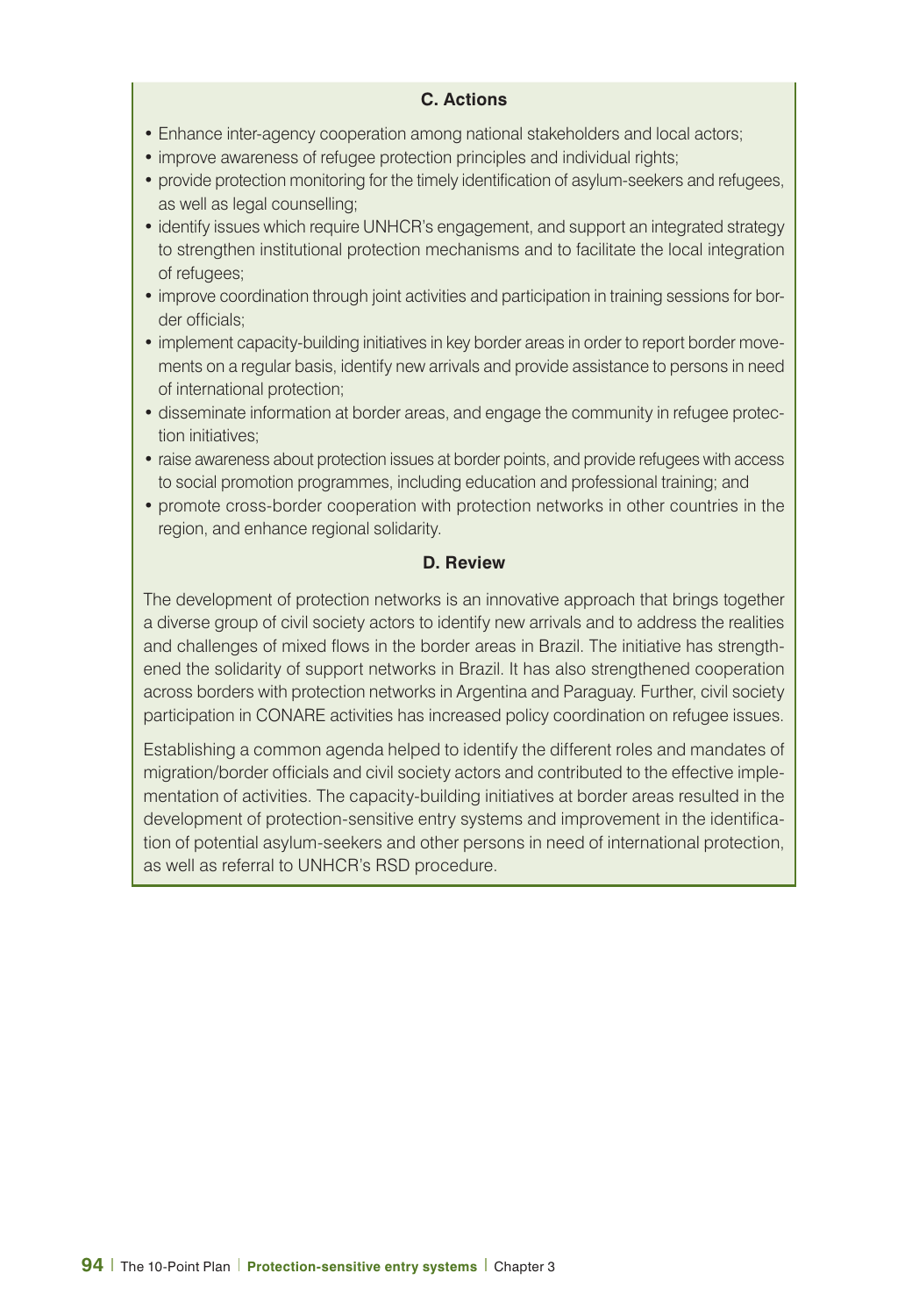#### **C. Actions**

- Enhance inter-agency cooperation among national stakeholders and local actors;
- improve awareness of refugee protection principles and individual rights;
- provide protection monitoring for the timely identification of asylum-seekers and refugees, as well as legal counselling;
- identify issues which require UNHCR's engagement, and support an integrated strategy to strengthen institutional protection mechanisms and to facilitate the local integration of refugees;
- improve coordination through joint activities and participation in training sessions for border officials;
- implement capacity-building initiatives in key border areas in order to report border movements on a regular basis, identify new arrivals and provide assistance to persons in need of international protection;
- disseminate information at border areas, and engage the community in refugee protection initiatives;
- raise awareness about protection issues at border points, and provide refugees with access to social promotion programmes, including education and professional training; and
- promote cross-border cooperation with protection networks in other countries in the region, and enhance regional solidarity.

#### **D. Review**

The development of protection networks is an innovative approach that brings together a diverse group of civil society actors to identify new arrivals and to address the realities and challenges of mixed flows in the border areas in Brazil. The initiative has strengthened the solidarity of support networks in Brazil. It has also strengthened cooperation across borders with protection networks in Argentina and Paraguay. Further, civil society participation in CONARE activities has increased policy coordination on refugee issues.

Establishing a common agenda helped to identify the different roles and mandates of migration/border officials and civil society actors and contributed to the effective implementation of activities. The capacity-building initiatives at border areas resulted in the development of protection-sensitive entry systems and improvement in the identification of potential asylum-seekers and other persons in need of international protection, as well as referral to UNHCR's RSD procedure.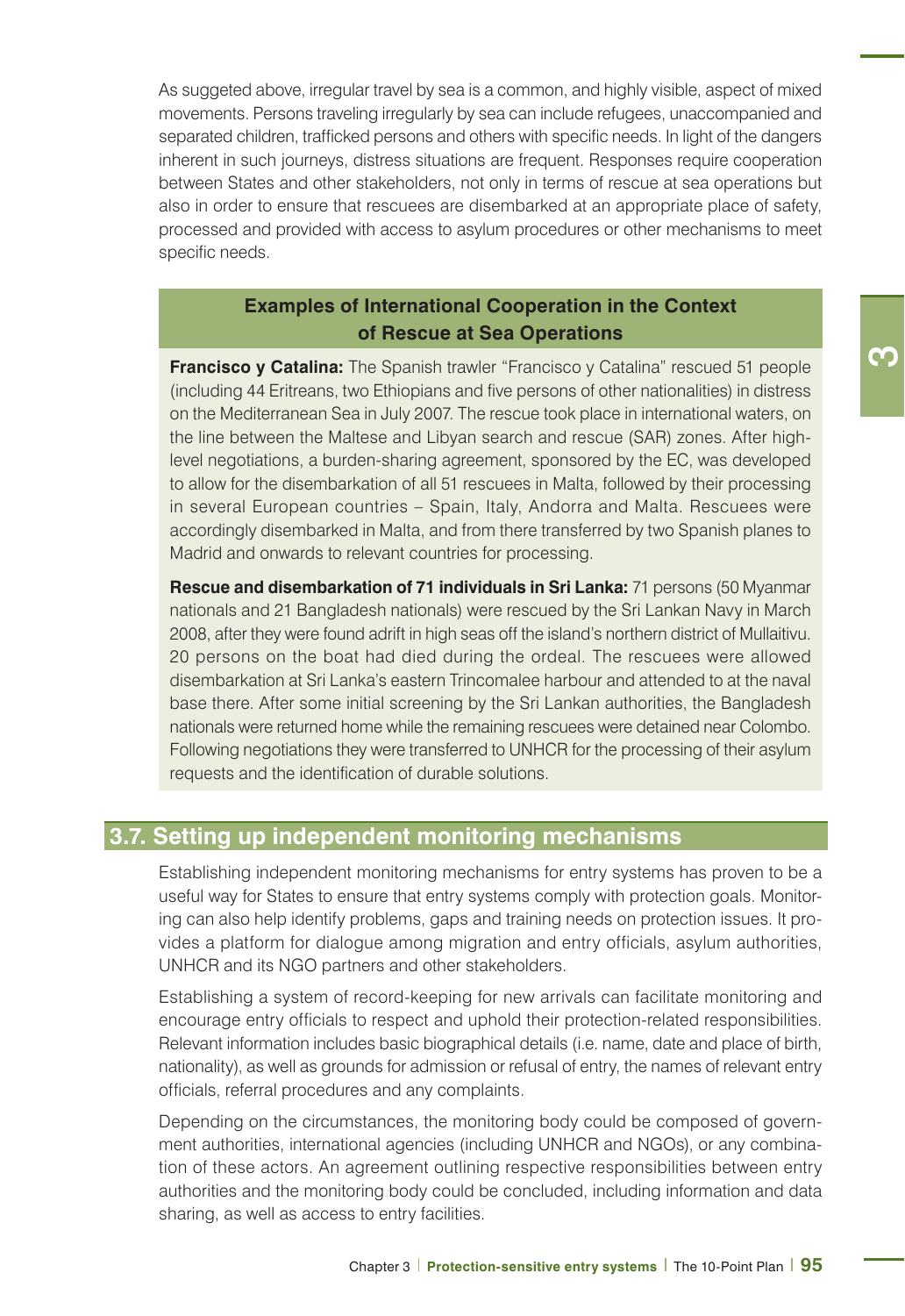As suggeted above, irregular travel by sea is a common, and highly visible, aspect of mixed movements. Persons traveling irregularly by sea can include refugees, unaccompanied and separated children, trafficked persons and others with specific needs. In light of the dangers inherent in such journeys, distress situations are frequent. Responses require cooperation between States and other stakeholders, not only in terms of rescue at sea operations but also in order to ensure that rescuees are disembarked at an appropriate place of safety, processed and provided with access to asylum procedures or other mechanisms to meet specific needs.

#### **Examples of International Cooperation in the Context of Rescue at Sea Operations**

**Francisco y Catalina:** The Spanish trawler "Francisco y Catalina" rescued 51 people (including 44 Eritreans, two Ethiopians and five persons of other nationalities) in distress on the Mediterranean Sea in July 2007. The rescue took place in international waters, on the line between the Maltese and Libyan search and rescue (SAR) zones. After highlevel negotiations, a burden-sharing agreement, sponsored by the EC, was developed to allow for the disembarkation of all 51 rescuees in Malta, followed by their processing in several European countries – Spain, Italy, Andorra and Malta. Rescuees were accordingly disembarked in Malta, and from there transferred by two Spanish planes to Madrid and onwards to relevant countries for processing.

**Rescue and disembarkation of 71 individuals in Sri Lanka:** 71 persons (50 Myanmar nationals and 21 Bangladesh nationals) were rescued by the Sri Lankan Navy in March 2008, after they were found adrift in high seas off the island's northern district of Mullaitivu. 20 persons on the boat had died during the ordeal. The rescuees were allowed disembarkation at Sri Lanka's eastern Trincomalee harbour and attended to at the naval base there. After some initial screening by the Sri Lankan authorities, the Bangladesh nationals were returned home while the remaining rescuees were detained near Colombo. Following negotiations they were transferred to UNHCR for the processing of their asylum requests and the identification of durable solutions.

# **3.7. Setting up independent monitoring mechanisms**

Establishing independent monitoring mechanisms for entry systems has proven to be a useful way for States to ensure that entry systems comply with protection goals. Monitoring can also help identify problems, gaps and training needs on protection issues. It provides a platform for dialogue among migration and entry officials, asylum authorities, UNHCR and its NGO partners and other stakeholders.

Establishing a system of record-keeping for new arrivals can facilitate monitoring and encourage entry officials to respect and uphold their protection-related responsibilities. Relevant information includes basic biographical details (i.e. name, date and place of birth, nationality), as well as grounds for admission or refusal of entry, the names of relevant entry officials, referral procedures and any complaints.

Depending on the circumstances, the monitoring body could be composed of government authorities, international agencies (including UNHCR and NGOs), or any combination of these actors. An agreement outlining respective responsibilities between entry authorities and the monitoring body could be concluded, including information and data sharing, as well as access to entry facilities.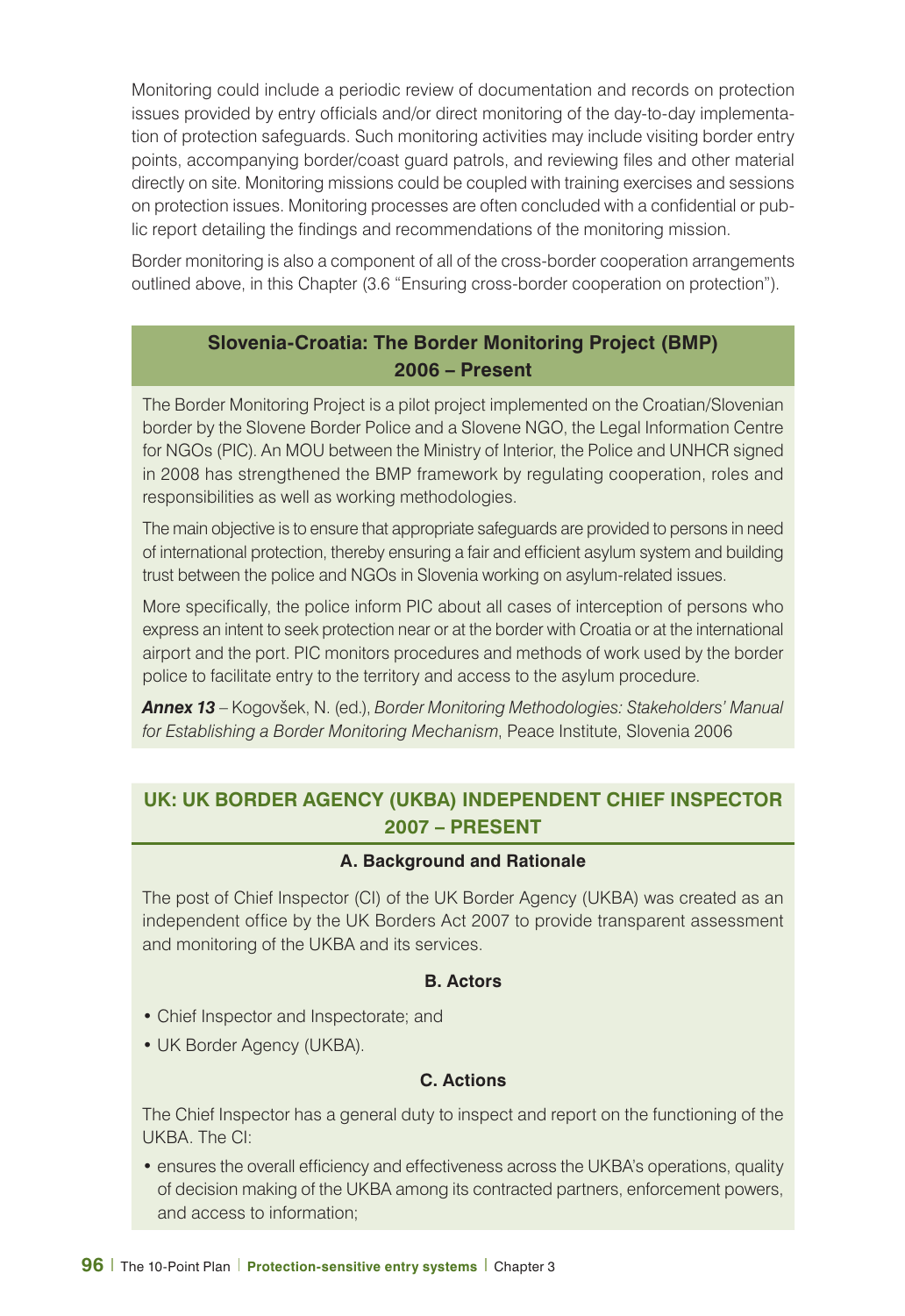Monitoring could include a periodic review of documentation and records on protection issues provided by entry officials and/or direct monitoring of the day-to-day implementation of protection safeguards. Such monitoring activities may include visiting border entry points, accompanying border/coast guard patrols, and reviewing files and other material directly on site. Monitoring missions could be coupled with training exercises and sessions on protection issues. Monitoring processes are often concluded with a confidential or public report detailing the findings and recommendations of the monitoring mission.

Border monitoring is also a component of all of the cross-border cooperation arrangements outlined above, in this Chapter (3.6 "Ensuring cross-border cooperation on protection").

# **Slovenia-Croatia: The Border Monitoring Project (BMP) 2006 – Present**

The Border Monitoring Project is a pilot project implemented on the Croatian/Slovenian border by the Slovene Border Police and a Slovene NGO, the Legal Information Centre for NGOs (PIC). An MOU between the Ministry of Interior, the Police and UNHCR signed in 2008 has strengthened the BMP framework by regulating cooperation, roles and responsibilities as well as working methodologies.

The main objective is to ensure that appropriate safeguards are provided to persons in need of international protection, thereby ensuring a fair and efficient asylum system and building trust between the police and NGOs in Slovenia working on asylum-related issues.

More specifically, the police inform PIC about all cases of interception of persons who express an intent to seek protection near or at the border with Croatia or at the international airport and the port. PIC monitors procedures and methods of work used by the border police to facilitate entry to the territory and access to the asylum procedure.

*Annex 13* – Kogovšek, N. (ed.), *Border Monitoring Methodologies: Stakeholders' Manual for Establishing a Border Monitoring Mechanism*, Peace Institute, Slovenia 2006

# **UK: UK BORDER AGENCY (UKBA) INDEPENDENT CHIEF INSPECTOR 2007 – PRESENT**

#### **A. Background and Rationale**

The post of Chief Inspector (CI) of the UK Border Agency (UKBA) was created as an independent office by the UK Borders Act 2007 to provide transparent assessment and monitoring of the UKBA and its services.

#### **B. Actors**

- Chief Inspector and Inspectorate; and
- UK Border Agency (UKBA).

#### **C. Actions**

The Chief Inspector has a general duty to inspect and report on the functioning of the UKBA. The CI:

• ensures the overall efficiency and effectiveness across the UKBA's operations, quality of decision making of the UKBA among its contracted partners, enforcement powers, and access to information;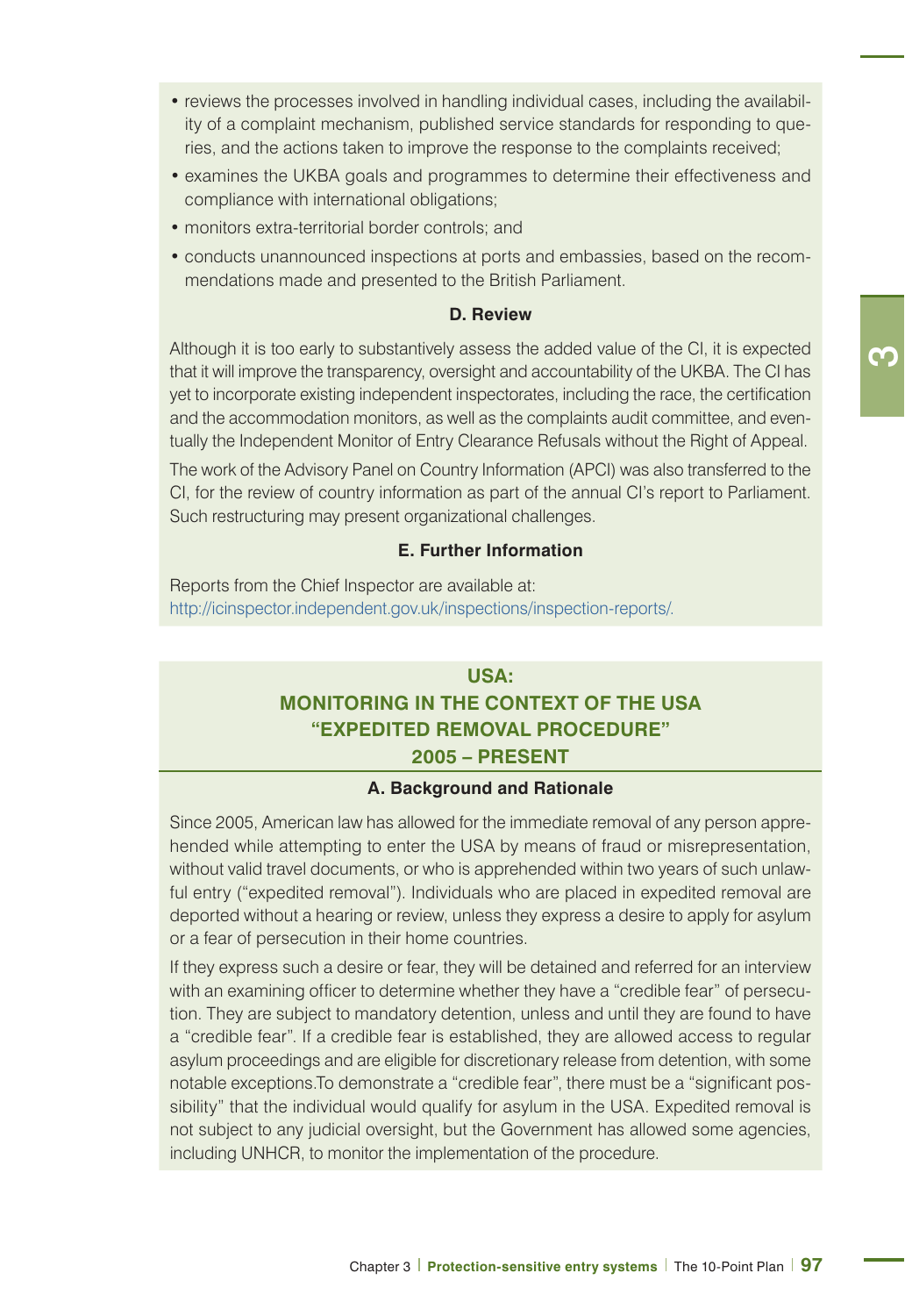- reviews the processes involved in handling individual cases, including the availability of a complaint mechanism, published service standards for responding to queries, and the actions taken to improve the response to the complaints received;
- examines the UKBA goals and programmes to determine their effectiveness and compliance with international obligations;
- monitors extra-territorial border controls; and
- conducts unannounced inspections at ports and embassies, based on the recommendations made and presented to the British Parliament.

#### **D. Review**

Although it is too early to substantively assess the added value of the CI, it is expected that it will improve the transparency, oversight and accountability of the UKBA. The CI has yet to incorporate existing independent inspectorates, including the race, the certification and the accommodation monitors, as well as the complaints audit committee, and eventually the Independent Monitor of Entry Clearance Refusals without the Right of Appeal.

The work of the Advisory Panel on Country Information (APCI) was also transferred to the CI, for the review of country information as part of the annual CI's report to Parliament. Such restructuring may present organizational challenges.

#### **E. Further Information**

Reports from the Chief Inspector are available at: [http://icinspector.independent.gov.uk/inspections/inspection-reports/](http://icinspector.independent.gov.uk/inspections/inspection-reports).

#### **USA:**

# **MONITORING IN THE CONTEXT OF THE USA "EXPEDITED REMOVAL PROCEDURE"**

#### **2005 – PRESENT**

#### **A. Background and Rationale**

Since 2005, American law has allowed for the immediate removal of any person apprehended while attempting to enter the USA by means of fraud or misrepresentation, without valid travel documents, or who is apprehended within two years of such unlawful entry ("expedited removal"). Individuals who are placed in expedited removal are deported without a hearing or review, unless they express a desire to apply for asylum or a fear of persecution in their home countries.

If they express such a desire or fear, they will be detained and referred for an interview with an examining officer to determine whether they have a "credible fear" of persecution. They are subject to mandatory detention, unless and until they are found to have a "credible fear". If a credible fear is established, they are allowed access to regular asylum proceedings and are eligible for discretionary release from detention, with some notable exceptions.To demonstrate a "credible fear", there must be a "significant possibility" that the individual would qualify for asylum in the USA. Expedited removal is not subject to any judicial oversight, but the Government has allowed some agencies, including UNHCR, to monitor the implementation of the procedure.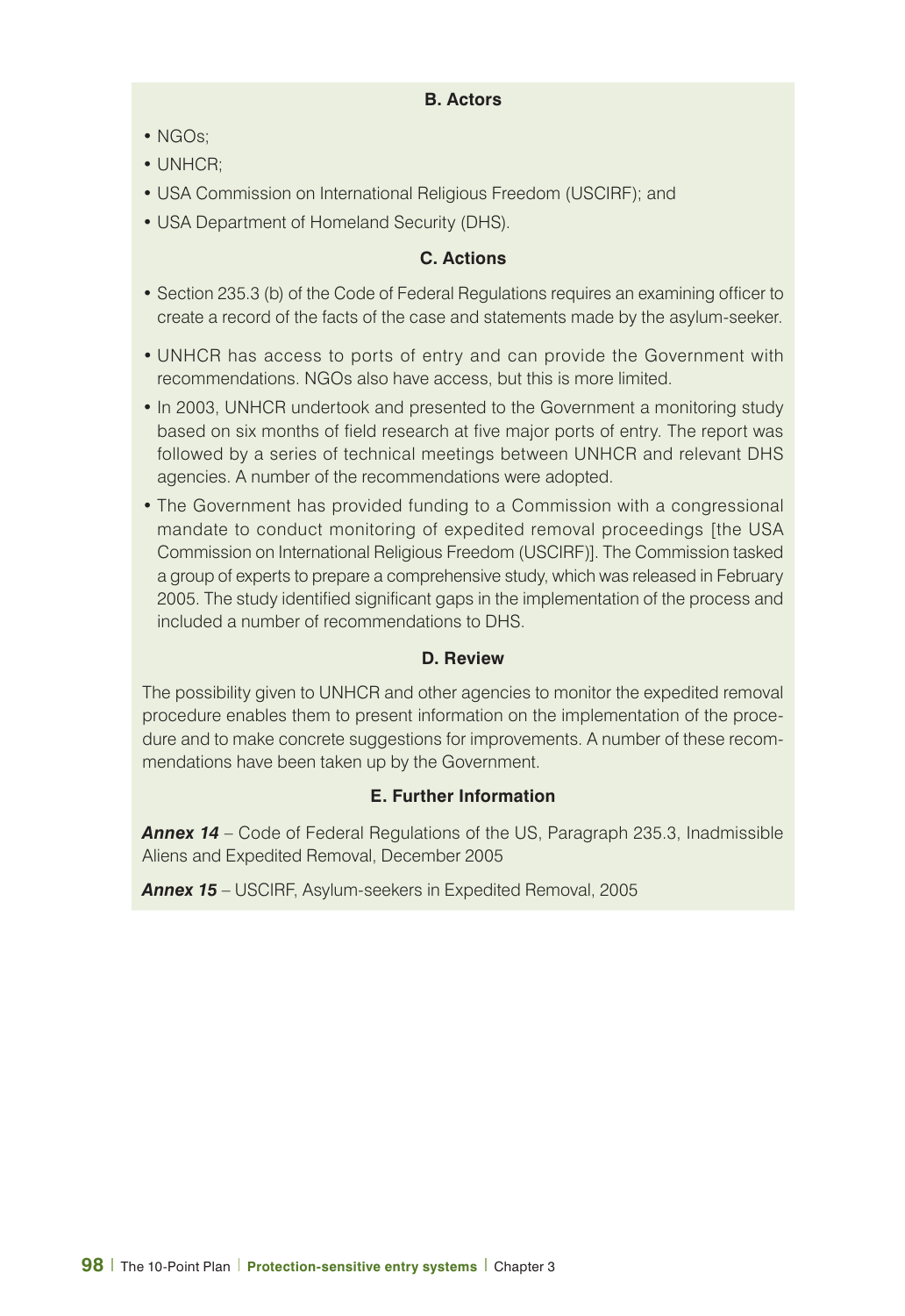#### **B. Actors**

- NGOs;
- UNHCR;
- USA Commission on International Religious Freedom (USCIRF); and
- USA Department of Homeland Security (DHS).

#### **C. Actions**

- Section 235.3 (b) of the Code of Federal Regulations requires an examining officer to create a record of the facts of the case and statements made by the asylum-seeker.
- UNHCR has access to ports of entry and can provide the Government with recommendations. NGOs also have access, but this is more limited.
- In 2003, UNHCR undertook and presented to the Government a monitoring study based on six months of field research at five major ports of entry. The report was followed by a series of technical meetings between UNHCR and relevant DHS agencies. A number of the recommendations were adopted.
- The Government has provided funding to a Commission with a congressional mandate to conduct monitoring of expedited removal proceedings [the USA Commission on International Religious Freedom (USCIRF)]. The Commission tasked a group of experts to prepare a comprehensive study, which was released in February 2005. The study identified significant gaps in the implementation of the process and included a number of recommendations to DHS.

#### **D. Review**

The possibility given to UNHCR and other agencies to monitor the expedited removal procedure enables them to present information on the implementation of the procedure and to make concrete suggestions for improvements. A number of these recommendations have been taken up by the Government.

#### **E. Further Information**

*Annex 14* – Code of Federal Regulations of the US, Paragraph 235.3, Inadmissible Aliens and Expedited Removal, December 2005

*Annex 15* – USCIRF, Asylum-seekers in Expedited Removal, 2005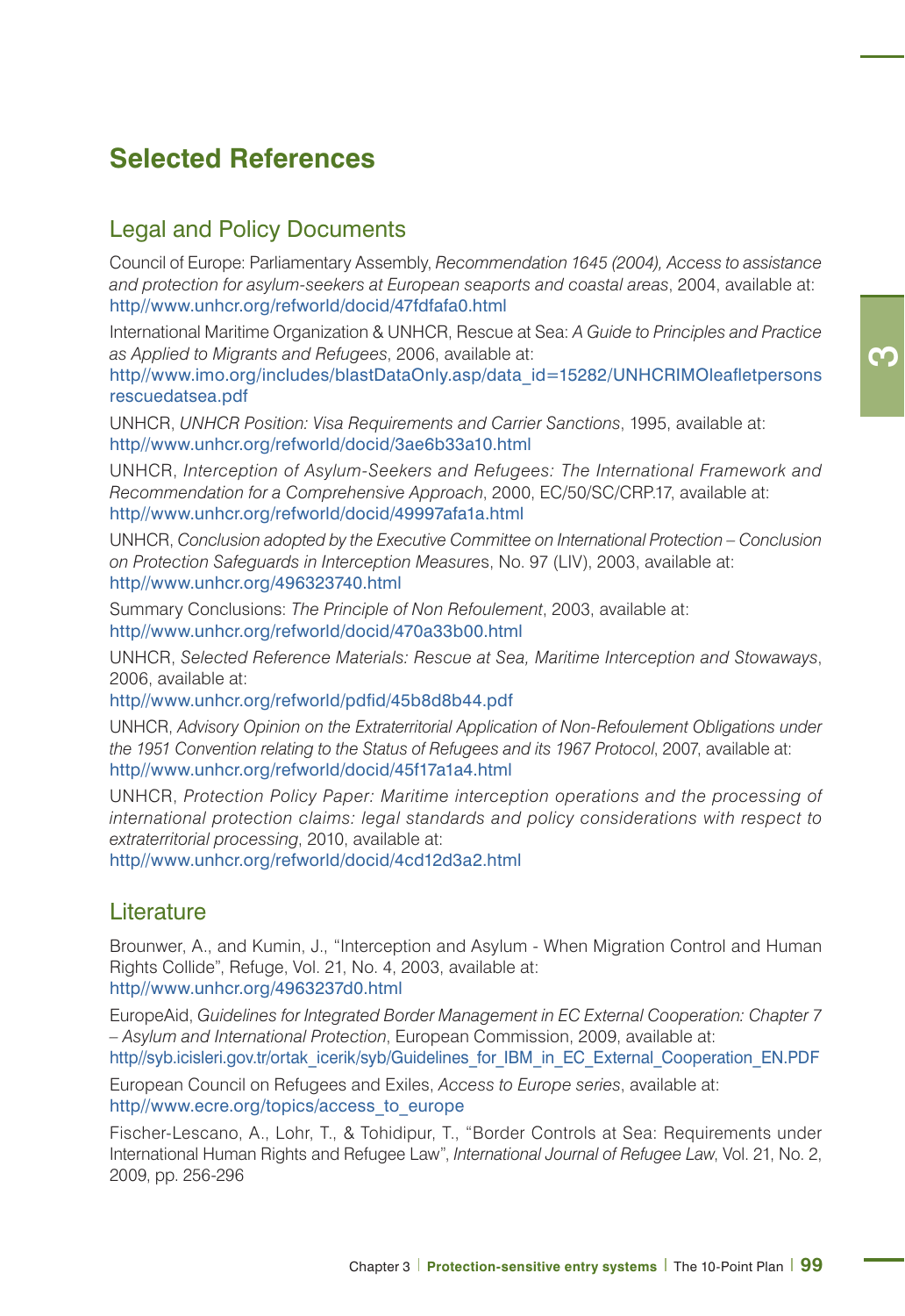თ

# **Selected References**

# Legal and Policy Documents

Council of Europe: Parliamentary Assembly, *Recommendation 1645 (2004), Access to assistance and protection for asylum-seekers at European seaports and coastal areas*, 2004, available at: [http//www.unhcr.org/refworld/docid/47fdfafa0.html](http://http//www.unhcr.org/refworld/docid/47fdfafa0.html)

International Maritime Organization & UNHCR, Rescue at Sea: *A Guide to Principles and Practice as Applied to Migrants and Refugees*, 2006, available at:

[http//www.imo.org/includes/blastDataOnly.asp/data\\_id=15282/UNHCRIMOleafletpersons](http://http//www.imo.org/includes/blastDataOnly.asp/data_id=15282/UNHCRIMOleafletpersons) rescuedatsea.pdf

UNHCR, *UNHCR Position: Visa Requirements and Carrier Sanctions*, 1995, available at: [http//www.unhcr.org/refworld/docid/3ae6b33a10.html](http://http//www.unhcr.org/refworld/docid/3ae6b33a10.html)

UNHCR, *Interception of Asylum-Seekers and Refugees: The International Framework and Recommendation for a Comprehensive Approach*, 2000, EC/50/SC/CRP.17, available at: [http//www.unhcr.org/refworld/docid/49997afa1a.html](http://http//www.unhcr.org/refworld/docid/49997afa1a.html)

UNHCR, *Conclusion adopted by the Executive Committee on International Protection – Conclusion on Protection Safeguards in Interception Measure*s, No. 97 (LIV), 2003, available at: [http//www.unhcr.org/496323740.html](http://http//www.unhcr.org/496323740.html)

Summary Conclusions: *The Principle of Non Refoulement*, 2003, available at: [http//www.unhcr.org/refworld/docid/470a33b00.html](http://http//www.unhcr.org/refworld/docid/470a33b00.html)

UNHCR, *Selected Reference Materials: Rescue at Sea, Maritime Interception and Stowaways*, 2006, available at:

[http//www.unhcr.org/refworld/pdfid/45b8d8b44.pdf](http://http//www.unhcr.org/refworld/pdfid/45b8d8b44.pdf)

UNHCR, *Advisory Opinion on the Extraterritorial Application of Non-Refoulement Obligations under the 1951 Convention relating to the Status of Refugees and its 1967 Protocol*, 2007, available at: [http//www.unhcr.org/refworld/docid/45f17a1a4.html](http://http//www.unhcr.org/refworld/docid/45f17a1a4.html)

UNHCR, *Protection Policy Paper: Maritime interception operations and the processing of international protection claims: legal standards and policy considerations with respect to extraterritorial processing*, 2010, available at:

[http//www.unhcr.org/refworld/docid/4cd12d3a2.html](http://http//www.unhcr.org/refworld/docid/4cd12d3a2.html)

# Literature

Brounwer, A., and Kumin, J., "Interception and Asylum - When Migration Control and Human Rights Collide", Refuge, Vol. 21, No. 4, 2003, available at: [http//www.unhcr.org/4963237d0.html](http://http//www.unhcr.org/4963237d0.html)

EuropeAid, *Guidelines for Integrated Border Management in EC External Cooperation: Chapter 7 – Asylum and International Protection*, European Commission, 2009, available at: [http//syb.icisleri.gov.tr/ortak\\_icerik/syb/Guidelines\\_for\\_IBM\\_in\\_EC\\_External\\_Cooperation\\_EN.PDF](http://http//syb.icisleri.gov.tr/ortak_icerik/syb/Guidelines_for_IBM_in_EC_External_Cooperation_EN.PDF)

European Council on Refugees and Exiles, *Access to Europe series*, available at: [http//www.ecre.org/topics/access\\_to\\_europe](http://http//www.ecre.org/topics/access_to_europe)

Fischer-Lescano, A., Lohr, T., & Tohidipur, T., "Border Controls at Sea: Requirements under International Human Rights and Refugee Law", *International Journal of Refugee Law*, Vol. 21, No. 2, 2009, pp. 256-296